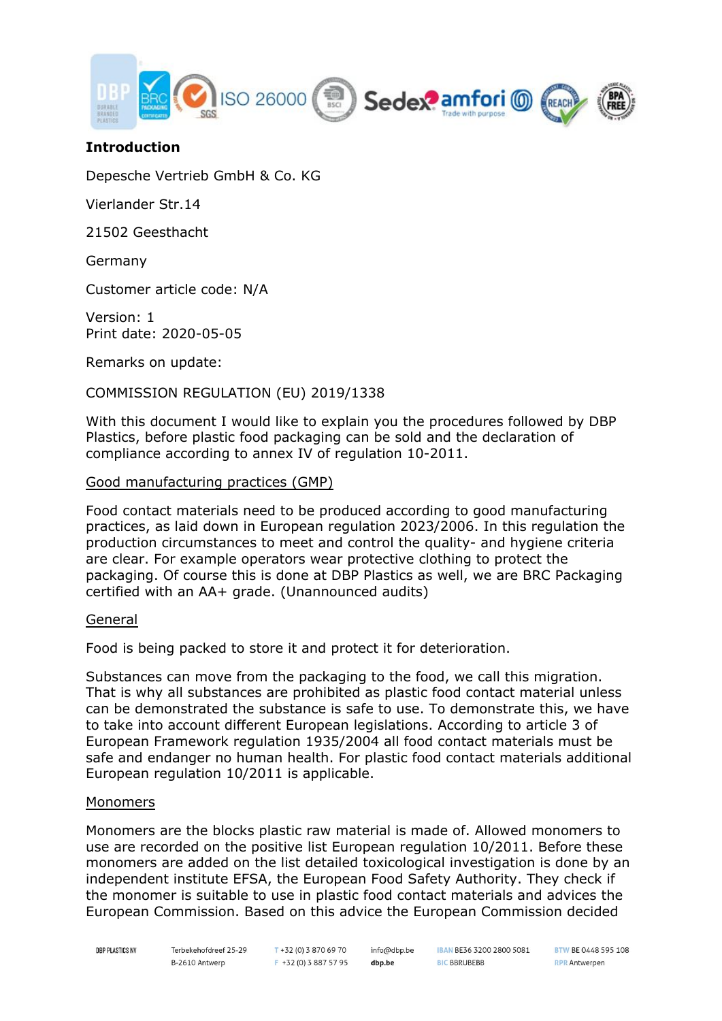

# **Introduction**

Depesche Vertrieb GmbH & Co. KG

Vierlander Str.14

21502 Geesthacht

Germany

Customer article code: N/A

Version: 1 Print date: 2020-05-05

Remarks on update:

#### COMMISSION REGULATION (EU) 2019/1338

With this document I would like to explain you the procedures followed by DBP Plastics, before plastic food packaging can be sold and the declaration of compliance according to annex IV of regulation 10-2011.

#### Good manufacturing practices (GMP)

Food contact materials need to be produced according to good manufacturing practices, as laid down in European regulation 2023/2006. In this regulation the production circumstances to meet and control the quality- and hygiene criteria are clear. For example operators wear protective clothing to protect the packaging. Of course this is done at DBP Plastics as well, we are BRC Packaging certified with an AA+ grade. (Unannounced audits)

#### General

Food is being packed to store it and protect it for deterioration.

Substances can move from the packaging to the food, we call this migration. That is why all substances are prohibited as plastic food contact material unless can be demonstrated the substance is safe to use. To demonstrate this, we have to take into account different European legislations. According to article 3 of European Framework regulation 1935/2004 all food contact materials must be safe and endanger no human health. For plastic food contact materials additional European regulation 10/2011 is applicable.

#### Monomers

Monomers are the blocks plastic raw material is made of. Allowed monomers to use are recorded on the positive list European regulation 10/2011. Before these monomers are added on the list detailed toxicological investigation is done by an independent institute EFSA, the European Food Safety Authority. They check if the monomer is suitable to use in plastic food contact materials and advices the European Commission. Based on this advice the European Commission decided

**DBP PLASTICS NV** 

 $T + 32(0)$  3 870 69 70 F +32 (0) 3 887 57 95 info@dbp.be dbp.be

IBAN BE36 3200 2800 5081 **BIC BBRUBEBB** 

BTW BE 0448 595 108 **RPR** Antwerpen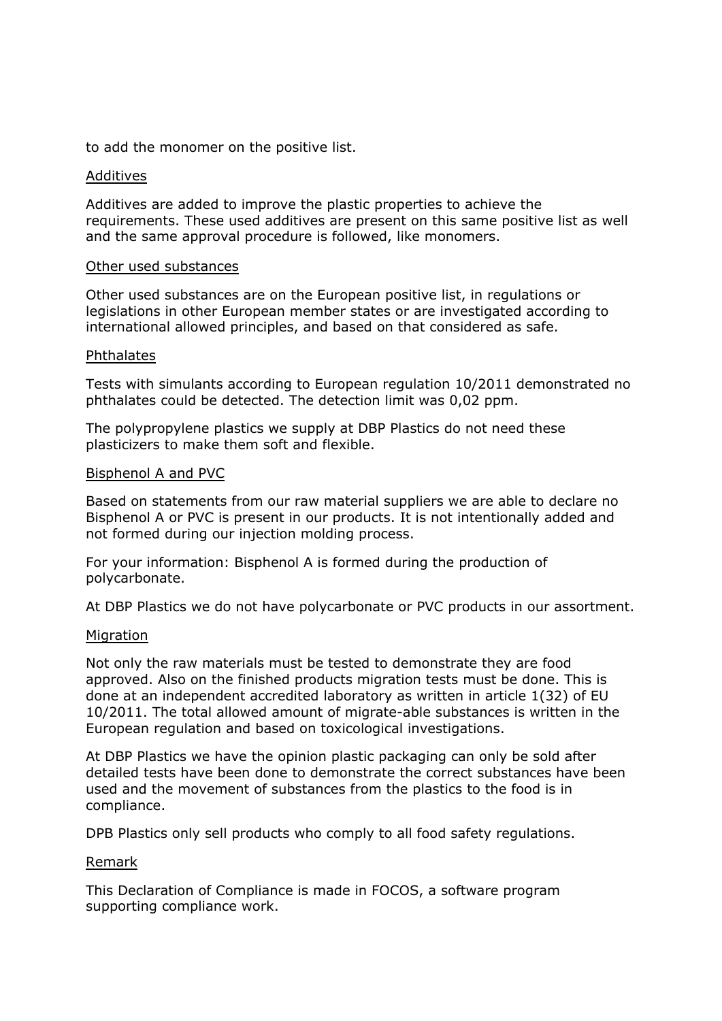to add the monomer on the positive list.

#### Additives

Additives are added to improve the plastic properties to achieve the requirements. These used additives are present on this same positive list as well and the same approval procedure is followed, like monomers.

#### Other used substances

Other used substances are on the European positive list, in regulations or legislations in other European member states or are investigated according to international allowed principles, and based on that considered as safe.

#### Phthalates

Tests with simulants according to European regulation 10/2011 demonstrated no phthalates could be detected. The detection limit was 0,02 ppm.

The polypropylene plastics we supply at DBP Plastics do not need these plasticizers to make them soft and flexible.

#### Bisphenol A and PVC

Based on statements from our raw material suppliers we are able to declare no Bisphenol A or PVC is present in our products. It is not intentionally added and not formed during our injection molding process.

For your information: Bisphenol A is formed during the production of polycarbonate.

At DBP Plastics we do not have polycarbonate or PVC products in our assortment.

#### Migration

Not only the raw materials must be tested to demonstrate they are food approved. Also on the finished products migration tests must be done. This is done at an independent accredited laboratory as written in article 1(32) of EU 10/2011. The total allowed amount of migrate-able substances is written in the European regulation and based on toxicological investigations.

At DBP Plastics we have the opinion plastic packaging can only be sold after detailed tests have been done to demonstrate the correct substances have been used and the movement of substances from the plastics to the food is in compliance.

DPB Plastics only sell products who comply to all food safety regulations.

#### Remark

This Declaration of Compliance is made in FOCOS, a software program supporting compliance work.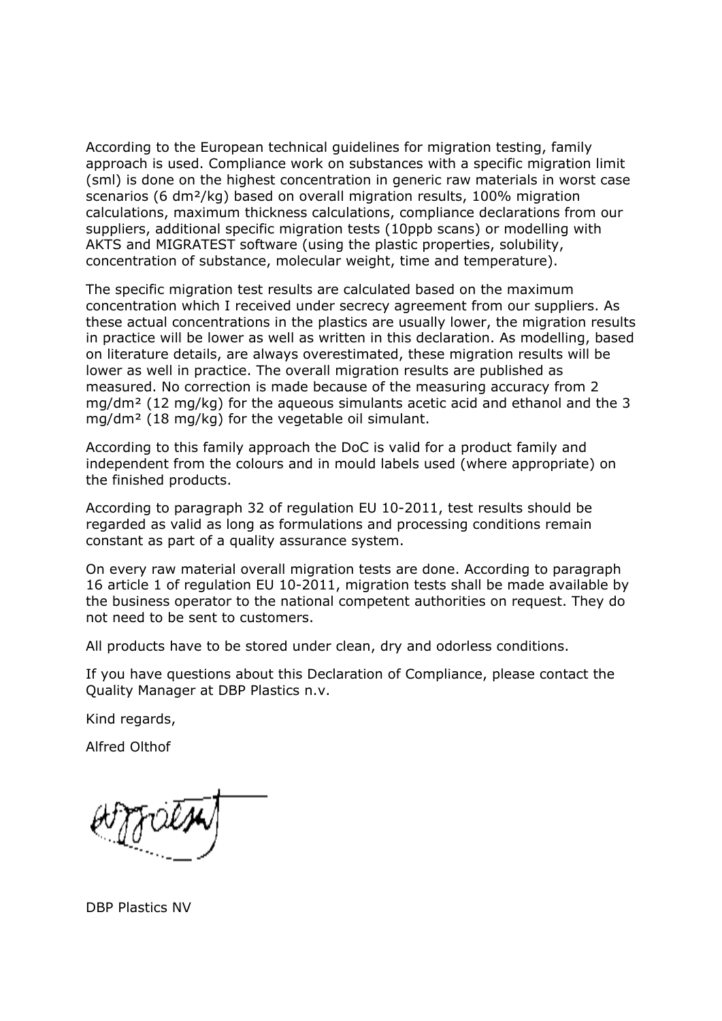According to the European technical guidelines for migration testing, family approach is used. Compliance work on substances with a specific migration limit (sml) is done on the highest concentration in generic raw materials in worst case scenarios (6 dm²/kg) based on overall migration results, 100% migration calculations, maximum thickness calculations, compliance declarations from our suppliers, additional specific migration tests (10ppb scans) or modelling with AKTS and MIGRATEST software (using the plastic properties, solubility, concentration of substance, molecular weight, time and temperature).

The specific migration test results are calculated based on the maximum concentration which I received under secrecy agreement from our suppliers. As these actual concentrations in the plastics are usually lower, the migration results in practice will be lower as well as written in this declaration. As modelling, based on literature details, are always overestimated, these migration results will be lower as well in practice. The overall migration results are published as measured. No correction is made because of the measuring accuracy from 2 mg/dm² (12 mg/kg) for the aqueous simulants acetic acid and ethanol and the 3 mg/dm² (18 mg/kg) for the vegetable oil simulant.

According to this family approach the DoC is valid for a product family and independent from the colours and in mould labels used (where appropriate) on the finished products.

According to paragraph 32 of regulation EU 10-2011, test results should be regarded as valid as long as formulations and processing conditions remain constant as part of a quality assurance system.

On every raw material overall migration tests are done. According to paragraph 16 article 1 of regulation EU 10-2011, migration tests shall be made available by the business operator to the national competent authorities on request. They do not need to be sent to customers.

All products have to be stored under clean, dry and odorless conditions.

If you have questions about this Declaration of Compliance, please contact the Quality Manager at DBP Plastics n.v.

Kind regards,

Alfred Olthof

DBP Plastics NV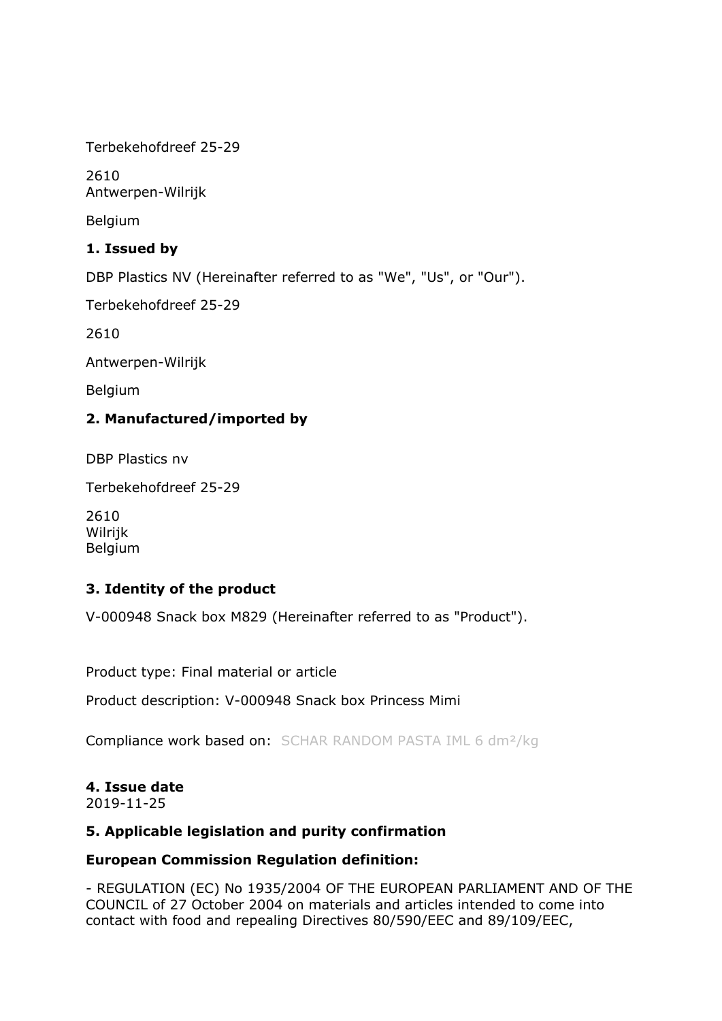Terbekehofdreef 25-29

2610 Antwerpen-Wilrijk

Belgium

# **1. Issued by**

DBP Plastics NV (Hereinafter referred to as "We", "Us", or "Our").

Terbekehofdreef 25-29

2610

Antwerpen-Wilrijk

Belgium

# **2. Manufactured/imported by**

DBP Plastics nv

Terbekehofdreef 25-29

2610 Wilrijk Belgium

# **3. Identity of the product**

V-000948 Snack box M829 (Hereinafter referred to as "Product").

Product type: Final material or article

Product description: V-000948 Snack box Princess Mimi

Compliance work based on: SCHAR RANDOM PASTA IML 6 dm<sup>2</sup>/kg

# **4. Issue date**

2019-11-25

## **5. Applicable legislation and purity confirmation**

## **European Commission Regulation definition:**

- REGULATION (EC) No 1935/2004 OF THE EUROPEAN PARLIAMENT AND OF THE COUNCIL of 27 October 2004 on materials and articles intended to come into contact with food and repealing Directives 80/590/EEC and 89/109/EEC,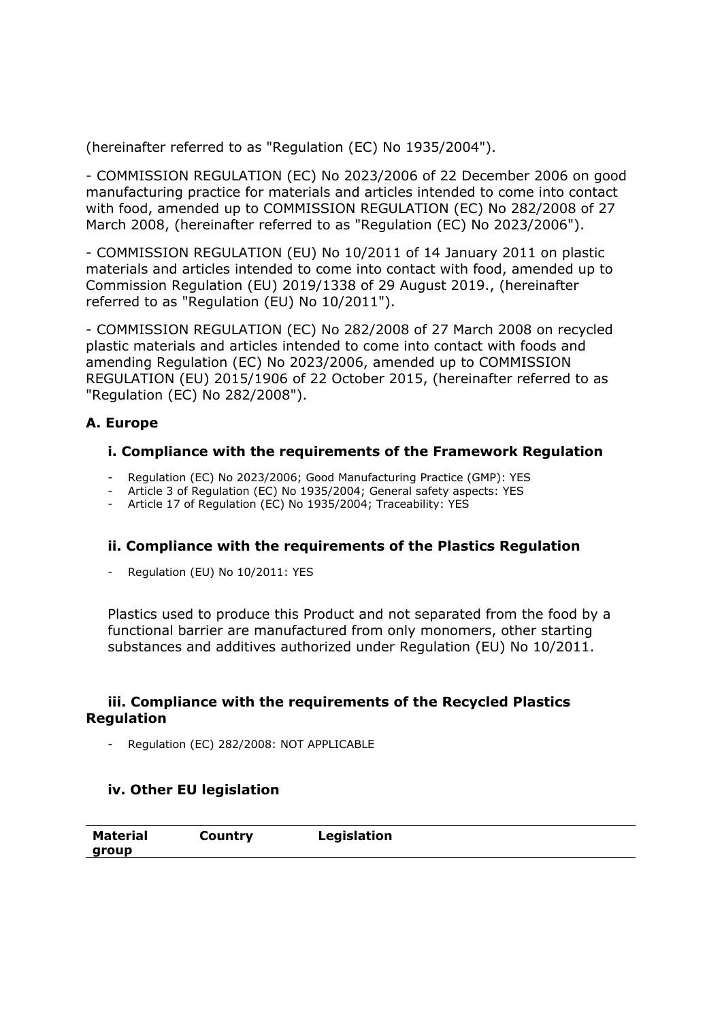(hereinafter referred to as "Regulation (EC) No 1935/2004").

- COMMISSION REGULATION (EC) No 2023/2006 of 22 December 2006 on good manufacturing practice for materials and articles intended to come into contact with food, amended up to COMMISSION REGULATION (EC) No 282/2008 of 27 March 2008, (hereinafter referred to as "Regulation (EC) No 2023/2006").

- COMMISSION REGULATION (EU) No 10/2011 of 14 January 2011 on plastic materials and articles intended to come into contact with food, amended up to Commission Regulation (EU) 2019/1338 of 29 August 2019., (hereinafter referred to as "Regulation (EU) No 10/2011").

- COMMISSION REGULATION (EC) No 282/2008 of 27 March 2008 on recycled plastic materials and articles intended to come into contact with foods and amending Regulation (EC) No 2023/2006, amended up to COMMISSION REGULATION (EU) 2015/1906 of 22 October 2015, (hereinafter referred to as "Regulation (EC) No 282/2008").

# **A. Europe**

## **i. Compliance with the requirements of the Framework Regulation**

- Regulation (EC) No 2023/2006; Good Manufacturing Practice (GMP): YES
- Article 3 of Regulation (EC) No 1935/2004; General safety aspects: YES
- Article 17 of Regulation (EC) No 1935/2004; Traceability: YES

## **ii. Compliance with the requirements of the Plastics Regulation**

Regulation (EU) No 10/2011: YES

Plastics used to produce this Product and not separated from the food by a functional barrier are manufactured from only monomers, other starting substances and additives authorized under Regulation (EU) No 10/2011.

#### **iii. Compliance with the requirements of the Recycled Plastics Regulation**

Regulation (EC) 282/2008: NOT APPLICABLE

## **iv. Other EU legislation**

| <b>Material</b> | Country | Legislation |
|-----------------|---------|-------------|
| aroup           |         |             |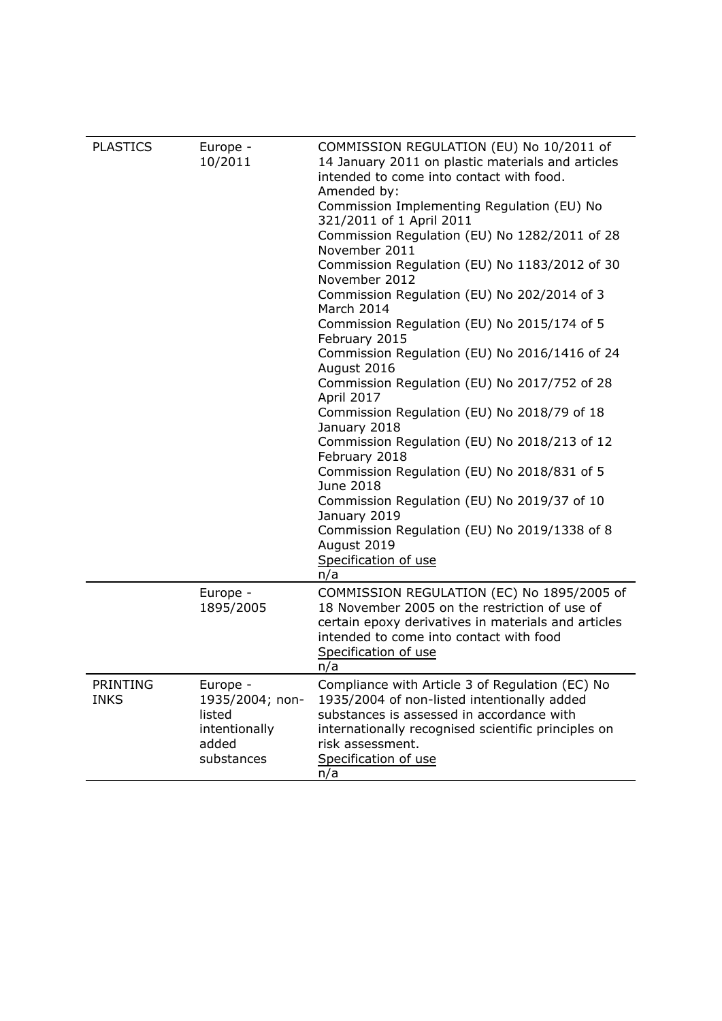| <b>PLASTICS</b> | Europe -                  | COMMISSION REGULATION (EU) No 10/2011 of                                                       |
|-----------------|---------------------------|------------------------------------------------------------------------------------------------|
|                 | 10/2011                   | 14 January 2011 on plastic materials and articles<br>intended to come into contact with food.  |
|                 |                           | Amended by:                                                                                    |
|                 |                           | Commission Implementing Regulation (EU) No                                                     |
|                 |                           | 321/2011 of 1 April 2011                                                                       |
|                 |                           | Commission Regulation (EU) No 1282/2011 of 28<br>November 2011                                 |
|                 |                           | Commission Regulation (EU) No 1183/2012 of 30<br>November 2012                                 |
|                 |                           | Commission Regulation (EU) No 202/2014 of 3<br>March 2014                                      |
|                 |                           | Commission Regulation (EU) No 2015/174 of 5<br>February 2015                                   |
|                 |                           | Commission Regulation (EU) No 2016/1416 of 24<br>August 2016                                   |
|                 |                           | Commission Regulation (EU) No 2017/752 of 28<br>April 2017                                     |
|                 |                           | Commission Regulation (EU) No 2018/79 of 18<br>January 2018                                    |
|                 |                           | Commission Regulation (EU) No 2018/213 of 12<br>February 2018                                  |
|                 |                           | Commission Regulation (EU) No 2018/831 of 5<br>June 2018                                       |
|                 |                           | Commission Regulation (EU) No 2019/37 of 10<br>January 2019                                    |
|                 |                           | Commission Regulation (EU) No 2019/1338 of 8<br>August 2019                                    |
|                 |                           | Specification of use                                                                           |
|                 |                           | n/a                                                                                            |
|                 | Europe -                  | COMMISSION REGULATION (EC) No 1895/2005 of                                                     |
|                 | 1895/2005                 | 18 November 2005 on the restriction of use of                                                  |
|                 |                           | certain epoxy derivatives in materials and articles<br>intended to come into contact with food |
|                 |                           | Specification of use                                                                           |
|                 |                           | n/a                                                                                            |
| PRINTING        | Europe -                  | Compliance with Article 3 of Regulation (EC) No                                                |
| <b>INKS</b>     | 1935/2004; non-<br>listed | 1935/2004 of non-listed intentionally added<br>substances is assessed in accordance with       |
|                 | intentionally             | internationally recognised scientific principles on                                            |
|                 | added                     | risk assessment.                                                                               |
|                 | substances                | Specification of use                                                                           |
|                 |                           | n/a                                                                                            |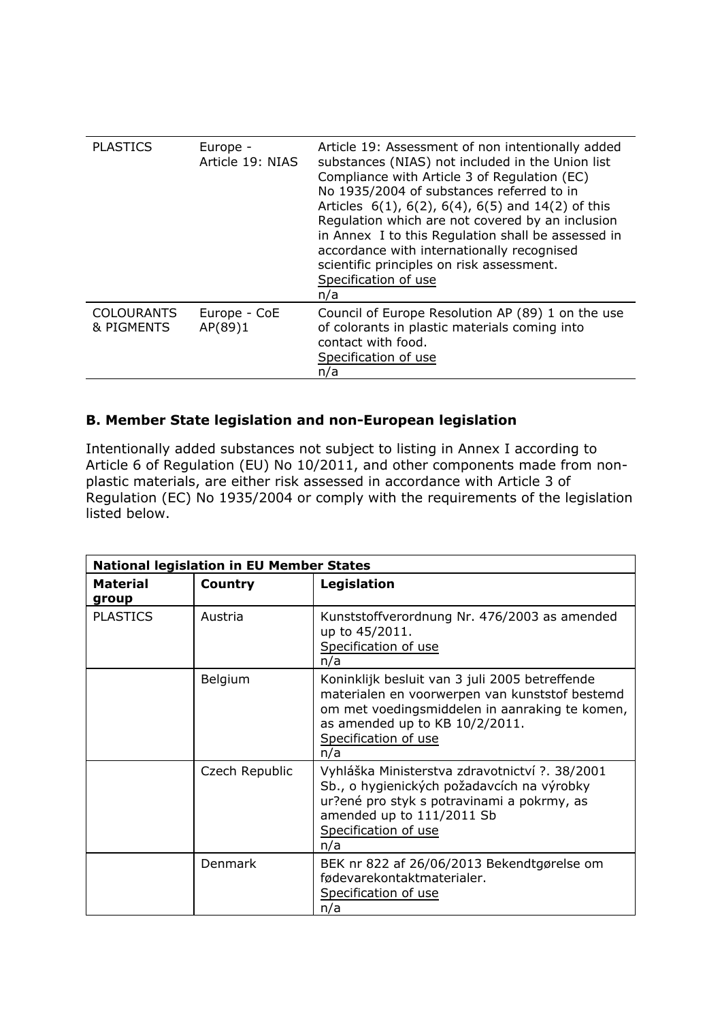| <b>PLASTICS</b>                 | Europe -<br>Article 19: NIAS | Article 19: Assessment of non intentionally added<br>substances (NIAS) not included in the Union list<br>Compliance with Article 3 of Regulation (EC)<br>No 1935/2004 of substances referred to in<br>Articles $6(1)$ , $6(2)$ , $6(4)$ , $6(5)$ and $14(2)$ of this<br>Regulation which are not covered by an inclusion<br>in Annex I to this Regulation shall be assessed in<br>accordance with internationally recognised<br>scientific principles on risk assessment.<br>Specification of use<br>n/a |
|---------------------------------|------------------------------|----------------------------------------------------------------------------------------------------------------------------------------------------------------------------------------------------------------------------------------------------------------------------------------------------------------------------------------------------------------------------------------------------------------------------------------------------------------------------------------------------------|
| <b>COLOURANTS</b><br>& PIGMENTS | Europe - CoE<br>AP(89)1      | Council of Europe Resolution AP (89) 1 on the use<br>of colorants in plastic materials coming into<br>contact with food.<br>Specification of use<br>n/a                                                                                                                                                                                                                                                                                                                                                  |

# **B. Member State legislation and non-European legislation**

Intentionally added substances not subject to listing in Annex I according to Article 6 of Regulation (EU) No 10/2011, and other components made from nonplastic materials, are either risk assessed in accordance with Article 3 of Regulation (EC) No 1935/2004 or comply with the requirements of the legislation listed below.

|                          | <b>National legislation in EU Member States</b> |                                                                                                                                                                                                                     |  |
|--------------------------|-------------------------------------------------|---------------------------------------------------------------------------------------------------------------------------------------------------------------------------------------------------------------------|--|
| <b>Material</b><br>group | <b>Country</b>                                  | Legislation                                                                                                                                                                                                         |  |
| <b>PLASTICS</b>          | Austria                                         | Kunststoffverordnung Nr. 476/2003 as amended<br>up to 45/2011.<br>Specification of use<br>n/a                                                                                                                       |  |
|                          | Belgium                                         | Koninklijk besluit van 3 juli 2005 betreffende<br>materialen en voorwerpen van kunststof bestemd<br>om met voedingsmiddelen in aanraking te komen,<br>as amended up to KB 10/2/2011.<br>Specification of use<br>n/a |  |
|                          | Czech Republic                                  | Vyhláška Ministerstva zdravotnictví ?. 38/2001<br>Sb., o hygienických požadavcích na výrobky<br>ur?ené pro styk s potravinami a pokrmy, as<br>amended up to 111/2011 Sb<br>Specification of use<br>n/a              |  |
|                          | <b>Denmark</b>                                  | BEK nr 822 af 26/06/2013 Bekendtgørelse om<br>fødevarekontaktmaterialer.<br>Specification of use<br>n/a                                                                                                             |  |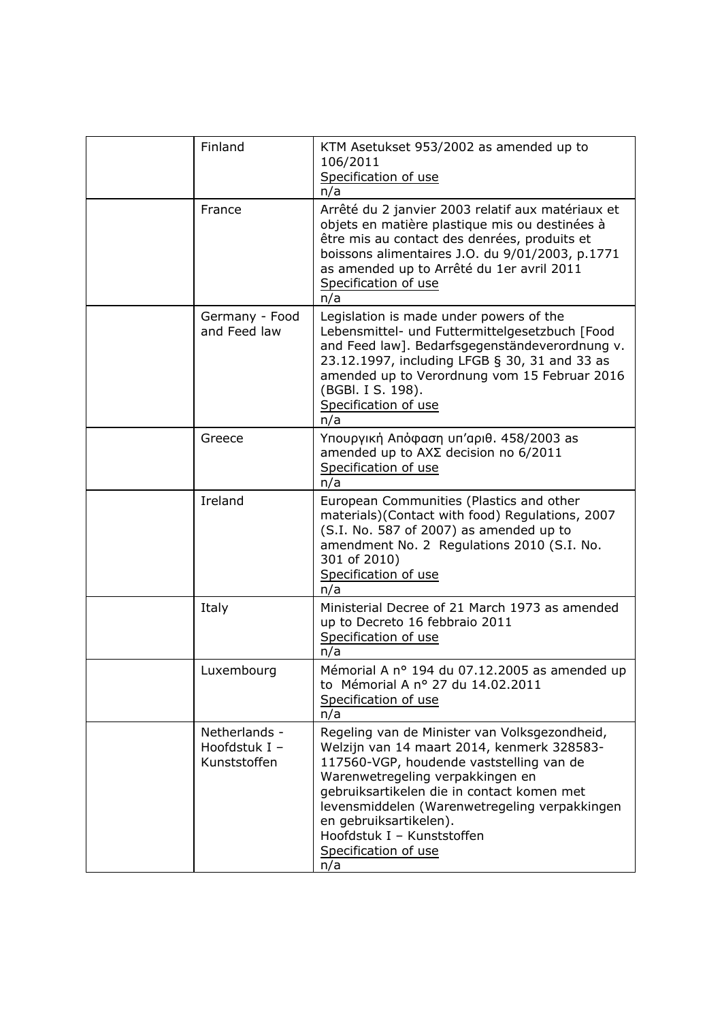| Finland                                        | KTM Asetukset 953/2002 as amended up to<br>106/2011<br>Specification of use<br>n/a                                                                                                                                                                                                                                                                                |
|------------------------------------------------|-------------------------------------------------------------------------------------------------------------------------------------------------------------------------------------------------------------------------------------------------------------------------------------------------------------------------------------------------------------------|
| France                                         | Arrêté du 2 janvier 2003 relatif aux matériaux et<br>objets en matière plastique mis ou destinées à<br>être mis au contact des denrées, produits et<br>boissons alimentaires J.O. du 9/01/2003, p.1771<br>as amended up to Arrêté du 1er avril 2011<br>Specification of use<br>n/a                                                                                |
| Germany - Food<br>and Feed law                 | Legislation is made under powers of the<br>Lebensmittel- und Futtermittelgesetzbuch [Food<br>and Feed law]. Bedarfsgegenständeverordnung v.<br>23.12.1997, including LFGB § 30, 31 and 33 as<br>amended up to Verordnung vom 15 Februar 2016<br>(BGBI. I S. 198).<br>Specification of use<br>n/a                                                                  |
| Greece                                         | Υπουργική Απόφαση υπ'αριθ. 458/2003 as<br>amended up to $AX\Sigma$ decision no 6/2011<br>Specification of use<br>n/a                                                                                                                                                                                                                                              |
| Ireland                                        | European Communities (Plastics and other<br>materials)(Contact with food) Regulations, 2007<br>(S.I. No. 587 of 2007) as amended up to<br>amendment No. 2 Regulations 2010 (S.I. No.<br>301 of 2010)<br>Specification of use<br>n/a                                                                                                                               |
| Italy                                          | Ministerial Decree of 21 March 1973 as amended<br>up to Decreto 16 febbraio 2011<br>Specification of use<br>n/a                                                                                                                                                                                                                                                   |
| Luxembourg                                     | Mémorial A nº 194 du 07.12.2005 as amended up<br>to Mémorial A nº 27 du 14.02.2011<br>Specification of use<br>n/a                                                                                                                                                                                                                                                 |
| Netherlands -<br>Hoofdstuk I -<br>Kunststoffen | Regeling van de Minister van Volksgezondheid,<br>Welzijn van 14 maart 2014, kenmerk 328583-<br>117560-VGP, houdende vaststelling van de<br>Warenwetregeling verpakkingen en<br>gebruiksartikelen die in contact komen met<br>levensmiddelen (Warenwetregeling verpakkingen<br>en gebruiksartikelen).<br>Hoofdstuk I - Kunststoffen<br>Specification of use<br>n/a |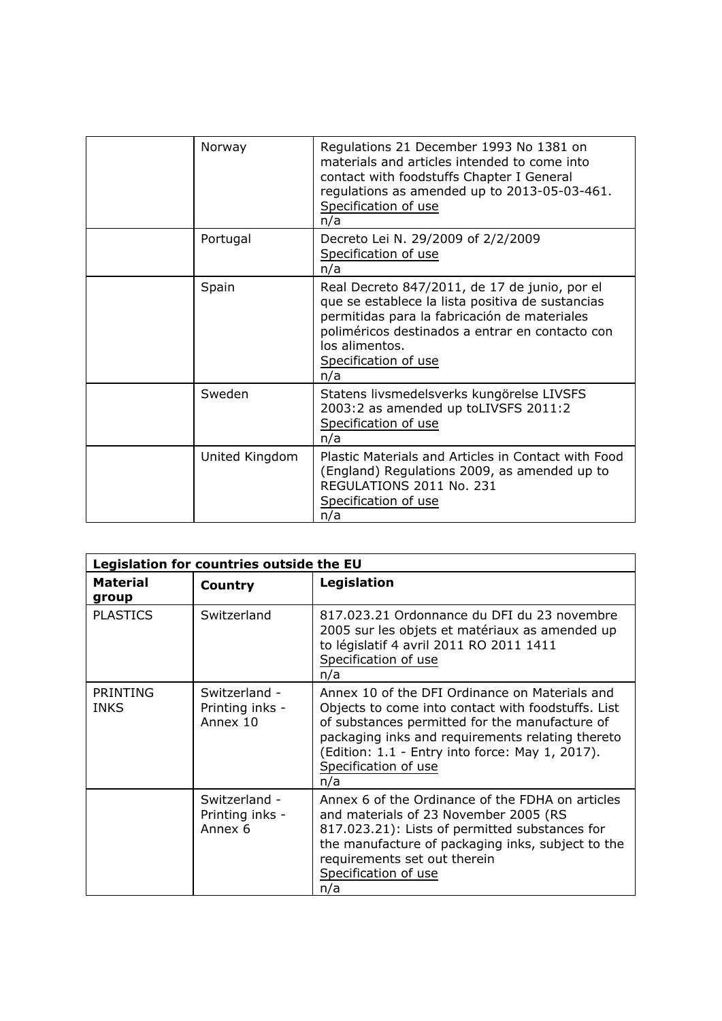| Norway         | Regulations 21 December 1993 No 1381 on<br>materials and articles intended to come into<br>contact with foodstuffs Chapter I General<br>regulations as amended up to 2013-05-03-461.<br>Specification of use<br>n/a                                   |
|----------------|-------------------------------------------------------------------------------------------------------------------------------------------------------------------------------------------------------------------------------------------------------|
| Portugal       | Decreto Lei N. 29/2009 of 2/2/2009<br>Specification of use<br>n/a                                                                                                                                                                                     |
| Spain          | Real Decreto 847/2011, de 17 de junio, por el<br>que se establece la lista positiva de sustancias<br>permitidas para la fabricación de materiales<br>poliméricos destinados a entrar en contacto con<br>los alimentos.<br>Specification of use<br>n/a |
| Sweden         | Statens livsmedelsverks kungörelse LIVSFS<br>2003:2 as amended up toLIVSFS 2011:2<br>Specification of use<br>n/a                                                                                                                                      |
| United Kingdom | Plastic Materials and Articles in Contact with Food<br>(England) Regulations 2009, as amended up to<br>REGULATIONS 2011 No. 231<br>Specification of use<br>n/a                                                                                        |

| Legislation for countries outside the EU |                                              |                                                                                                                                                                                                                                                                                              |
|------------------------------------------|----------------------------------------------|----------------------------------------------------------------------------------------------------------------------------------------------------------------------------------------------------------------------------------------------------------------------------------------------|
| <b>Material</b><br>group                 | Country                                      | Legislation                                                                                                                                                                                                                                                                                  |
| <b>PLASTICS</b>                          | Switzerland                                  | 817.023.21 Ordonnance du DFI du 23 novembre<br>2005 sur les objets et matériaux as amended up<br>to législatif 4 avril 2011 RO 2011 1411<br>Specification of use<br>n/a                                                                                                                      |
| <b>PRINTING</b><br><b>INKS</b>           | Switzerland -<br>Printing inks -<br>Annex 10 | Annex 10 of the DFI Ordinance on Materials and<br>Objects to come into contact with foodstuffs. List<br>of substances permitted for the manufacture of<br>packaging inks and requirements relating thereto<br>(Edition: 1.1 - Entry into force: May 1, 2017).<br>Specification of use<br>n/a |
|                                          | Switzerland -<br>Printing inks -<br>Annex 6  | Annex 6 of the Ordinance of the FDHA on articles<br>and materials of 23 November 2005 (RS<br>817.023.21): Lists of permitted substances for<br>the manufacture of packaging inks, subject to the<br>requirements set out therein<br>Specification of use<br>n/a                              |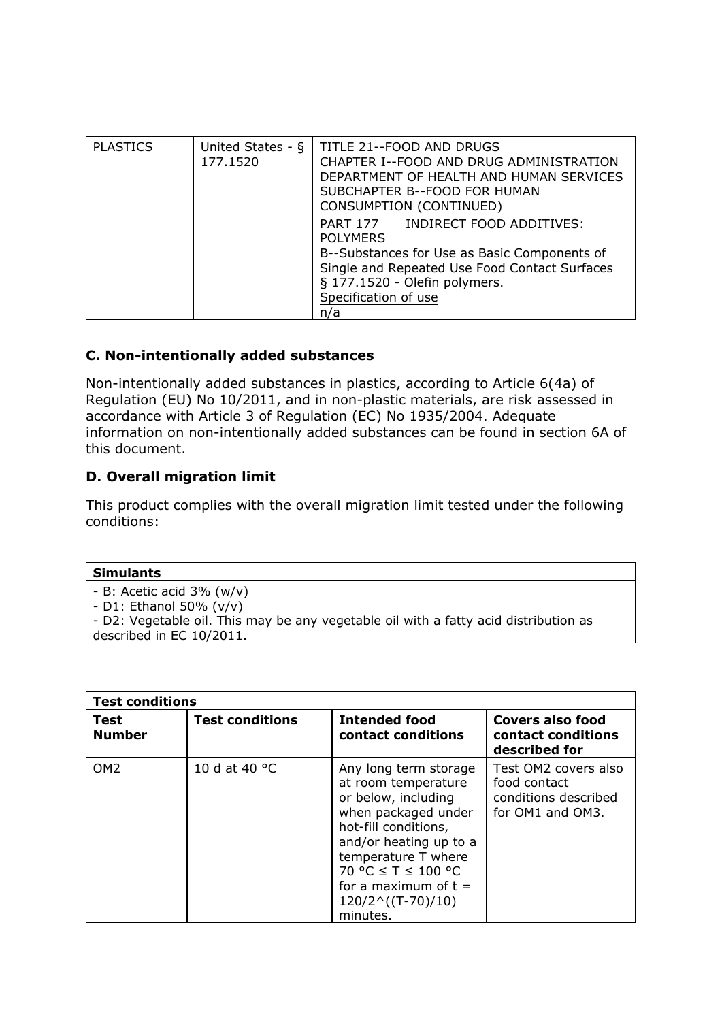| <b>PLASTICS</b> | United States - $\S$<br>177.1520 | TITLE 21--FOOD AND DRUGS<br>CHAPTER I--FOOD AND DRUG ADMINISTRATION<br>DEPARTMENT OF HEALTH AND HUMAN SERVICES<br>SUBCHAPTER B--FOOD FOR HUMAN<br>CONSUMPTION (CONTINUED)                                                |
|-----------------|----------------------------------|--------------------------------------------------------------------------------------------------------------------------------------------------------------------------------------------------------------------------|
|                 |                                  | PART 177<br>INDIRECT FOOD ADDITIVES:<br><b>POLYMERS</b><br>B--Substances for Use as Basic Components of<br>Single and Repeated Use Food Contact Surfaces<br>§ 177.1520 - Olefin polymers.<br>Specification of use<br>n/a |

# **C. Non-intentionally added substances**

Non-intentionally added substances in plastics, according to Article 6(4a) of Regulation (EU) No 10/2011, and in non-plastic materials, are risk assessed in accordance with Article 3 of Regulation (EC) No 1935/2004. Adequate information on non-intentionally added substances can be found in section 6A of this document.

# **D. Overall migration limit**

This product complies with the overall migration limit tested under the following conditions:

#### **Simulants**

- B: Acetic acid 3% (w/v)
- D1: Ethanol 50% (v/v)

- D2: Vegetable oil. This may be any vegetable oil with a fatty acid distribution as described in EC 10/2011.

| <b>Test conditions</b>       |                         |                                                                                                                                                                                                                                                       |                                                                                  |
|------------------------------|-------------------------|-------------------------------------------------------------------------------------------------------------------------------------------------------------------------------------------------------------------------------------------------------|----------------------------------------------------------------------------------|
| <b>Test</b><br><b>Number</b> | <b>Test conditions</b>  | <b>Intended food</b><br>contact conditions                                                                                                                                                                                                            | <b>Covers also food</b><br>contact conditions<br>described for                   |
| OM <sub>2</sub>              | 10 d at 40 $^{\circ}$ C | Any long term storage<br>at room temperature<br>or below, including<br>when packaged under<br>hot-fill conditions,<br>and/or heating up to a<br>temperature T where<br>70 °C ≤ T ≤ 100 °C<br>for a maximum of $t =$<br>$120/2^(T-70)/10)$<br>minutes. | Test OM2 covers also<br>food contact<br>conditions described<br>for OM1 and OM3. |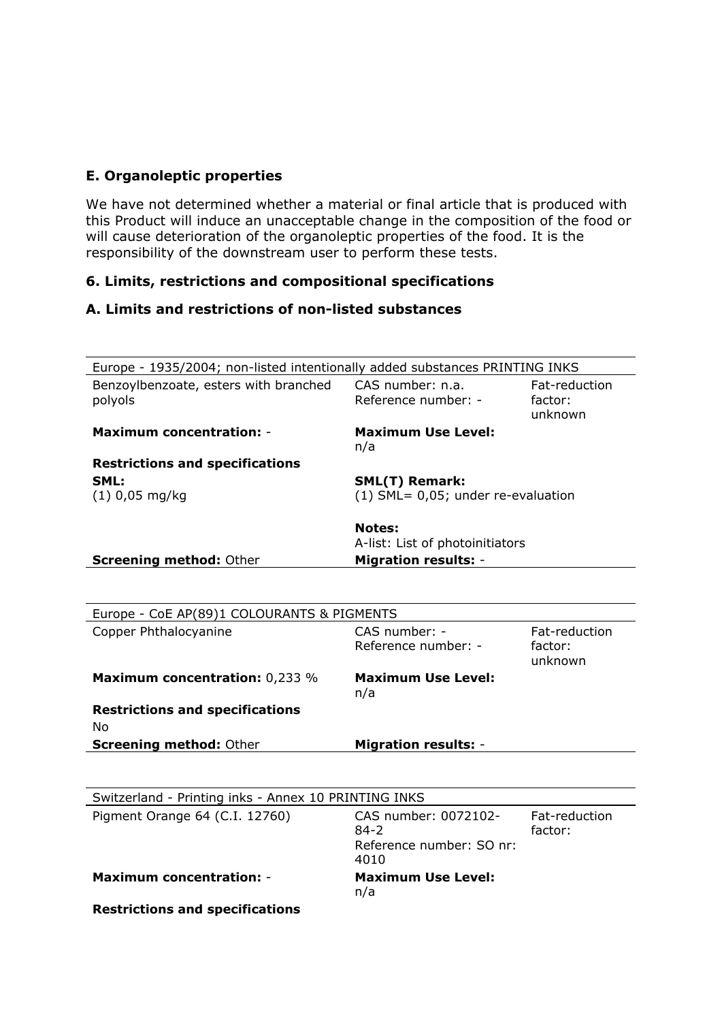## **E. Organoleptic properties**

We have not determined whether a material or final article that is produced with this Product will induce an unacceptable change in the composition of the food or will cause deterioration of the organoleptic properties of the food. It is the responsibility of the downstream user to perform these tests.

# **6. Limits, restrictions and compositional specifications**

# **A. Limits and restrictions of non-listed substances**

| Europe - 1935/2004; non-listed intentionally added substances PRINTING INKS |                                                                      |                                     |
|-----------------------------------------------------------------------------|----------------------------------------------------------------------|-------------------------------------|
| Benzoylbenzoate, esters with branched<br>polyols                            | CAS number: n.a.<br>Reference number: -                              | Fat-reduction<br>factor:<br>unknown |
| <b>Maximum concentration: -</b>                                             | <b>Maximum Use Level:</b><br>n/a                                     |                                     |
| <b>Restrictions and specifications</b>                                      |                                                                      |                                     |
| SML:                                                                        | <b>SML(T) Remark:</b>                                                |                                     |
| $(1)$ 0,05 mg/kg                                                            | (1) SML= 0,05; under re-evaluation                                   |                                     |
|                                                                             | <b>Notes:</b><br>A-list: List of photoinitiators                     |                                     |
| <b>Screening method: Other</b>                                              | <b>Migration results: -</b>                                          |                                     |
|                                                                             |                                                                      |                                     |
| Europe - CoE AP(89)1 COLOURANTS & PIGMENTS                                  |                                                                      |                                     |
| Copper Phthalocyanine                                                       | CAS number: -<br>Reference number: -                                 | Fat-reduction<br>factor:<br>unknown |
| <b>Maximum concentration: 0,233 %</b>                                       | <b>Maximum Use Level:</b><br>n/a                                     |                                     |
| <b>Restrictions and specifications</b>                                      |                                                                      |                                     |
| No                                                                          |                                                                      |                                     |
| <b>Screening method: Other</b>                                              | <b>Migration results: -</b>                                          |                                     |
|                                                                             |                                                                      |                                     |
| Switzerland - Printing inks - Annex 10 PRINTING INKS                        |                                                                      |                                     |
| Pigment Orange 64 (C.I. 12760)                                              | CAS number: 0072102-<br>$84 - 2$<br>Reference number: SO nr:<br>4010 | Fat-reduction<br>factor:            |
| <b>Maximum concentration: -</b>                                             | <b>Maximum Use Level:</b><br>n/a                                     |                                     |
| <b>Restrictions and specifications</b>                                      |                                                                      |                                     |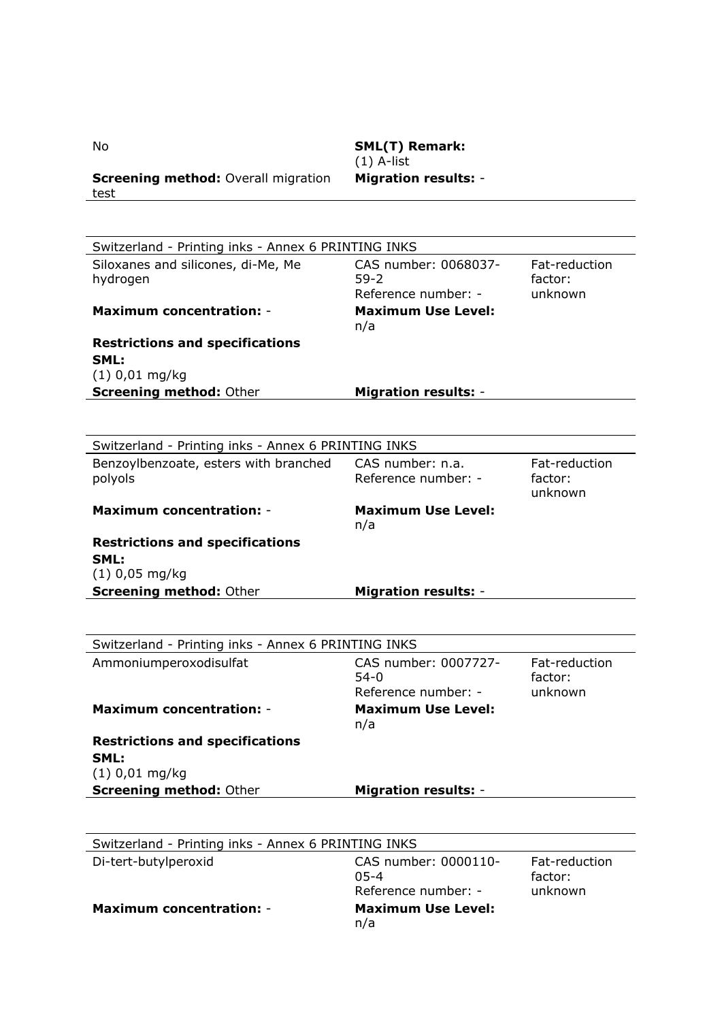| <b>Screening method: Overall migration</b><br>test  | <b>Migration results: -</b>                         |                                     |
|-----------------------------------------------------|-----------------------------------------------------|-------------------------------------|
|                                                     |                                                     |                                     |
| Switzerland - Printing inks - Annex 6 PRINTING INKS |                                                     |                                     |
| Siloxanes and silicones, di-Me, Me<br>hydrogen      | CAS number: 0068037-<br>59-2<br>Reference number: - | Fat-reduction<br>factor:<br>unknown |
| <b>Maximum concentration: -</b>                     | <b>Maximum Use Level:</b><br>n/a                    |                                     |
| <b>Restrictions and specifications</b>              |                                                     |                                     |
| SML:                                                |                                                     |                                     |
| $(1)$ 0,01 mg/kg<br><b>Screening method: Other</b>  | <b>Migration results: -</b>                         |                                     |
|                                                     |                                                     |                                     |
|                                                     |                                                     |                                     |
| Switzerland - Printing inks - Annex 6 PRINTING INKS |                                                     |                                     |
| Benzoylbenzoate, esters with branched<br>polyols    | CAS number: n.a.<br>Reference number: -             | Fat-reduction<br>factor:<br>unknown |
| <b>Maximum concentration: -</b>                     | <b>Maximum Use Level:</b><br>n/a                    |                                     |
| <b>Restrictions and specifications</b>              |                                                     |                                     |
| SML:                                                |                                                     |                                     |
| $(1)$ 0,05 mg/kg<br><b>Screening method: Other</b>  | <b>Migration results: -</b>                         |                                     |
|                                                     |                                                     |                                     |
|                                                     |                                                     |                                     |
| Switzerland - Printing inks - Annex 6 PRINTING INKS |                                                     |                                     |
| Ammoniumperoxodisulfat                              | CAS number: 0007727-                                | Fat-reduction                       |
|                                                     | $54-0$<br>Reference number: -                       | factor:<br>unknown                  |
| <b>Maximum concentration: -</b>                     | <b>Maximum Use Level:</b>                           |                                     |
|                                                     | n/a                                                 |                                     |
| <b>Restrictions and specifications</b>              |                                                     |                                     |
| SML:<br>$(1)$ 0,01 mg/kg                            |                                                     |                                     |
| <b>Screening method: Other</b>                      | <b>Migration results: -</b>                         |                                     |
|                                                     |                                                     |                                     |
|                                                     |                                                     |                                     |
| Switzerland - Printing inks - Annex 6 PRINTING INKS |                                                     |                                     |
| Di-tert-butylperoxid                                | CAS number: 0000110-                                | Fat-reduction                       |
|                                                     | $05 - 4$<br>Reference number: -                     | factor:<br>unknown                  |
| <b>Maximum concentration: -</b>                     | <b>Maximum Use Level:</b><br>n/a                    |                                     |

No **SML(T) Remark:** (1) A-list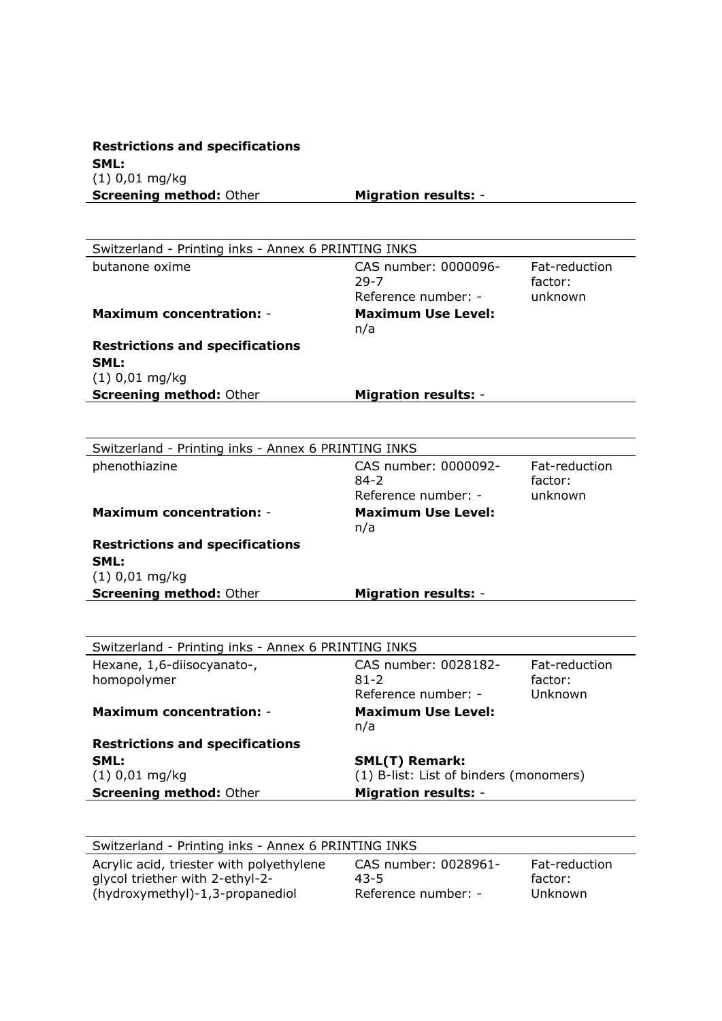**Restrictions and specifications SML:** (1) 0,01 mg/kg **Screening method:** Other **Migration results:** -

| Switzerland - Printing inks - Annex 6 PRINTING INKS |                                        |                          |
|-----------------------------------------------------|----------------------------------------|--------------------------|
| butanone oxime                                      | CAS number: 0000096-<br>29-7           | Fat-reduction<br>factor: |
|                                                     | Reference number: -                    | unknown                  |
| <b>Maximum concentration: -</b>                     | <b>Maximum Use Level:</b><br>n/a       |                          |
| <b>Restrictions and specifications</b>              |                                        |                          |
| SML:                                                |                                        |                          |
| $(1)$ 0,01 mg/kg                                    |                                        |                          |
| <b>Screening method: Other</b>                      | <b>Migration results: -</b>            |                          |
|                                                     |                                        |                          |
| Switzerland - Printing inks - Annex 6 PRINTING INKS |                                        |                          |
| phenothiazine                                       | CAS number: 0000092-                   | Fat-reduction            |
|                                                     | $84 - 2$                               | factor:                  |
|                                                     | Reference number: -                    | unknown                  |
| <b>Maximum concentration: -</b>                     | <b>Maximum Use Level:</b><br>n/a       |                          |
| <b>Restrictions and specifications</b>              |                                        |                          |
| SML:                                                |                                        |                          |
| $(1)$ 0,01 mg/kg                                    |                                        |                          |
| <b>Screening method: Other</b>                      | <b>Migration results: -</b>            |                          |
|                                                     |                                        |                          |
| Switzerland - Printing inks - Annex 6 PRINTING INKS |                                        |                          |
| Hexane, 1,6-diisocyanato-,                          | CAS number: 0028182-                   | Fat-reduction            |
| homopolymer                                         | 81-2                                   | factor:                  |
|                                                     | Reference number: -                    | Unknown                  |
| <b>Maximum concentration: -</b>                     | <b>Maximum Use Level:</b><br>n/a       |                          |
| <b>Restrictions and specifications</b>              |                                        |                          |
| SML:                                                | <b>SML(T) Remark:</b>                  |                          |
| $(1)$ 0,01 mg/kg                                    | (1) B-list: List of binders (monomers) |                          |
| <b>Screening method: Other</b>                      | <b>Migration results: -</b>            |                          |

| Switzerland - Printing inks - Annex 6 PRINTING INKS |                      |               |  |
|-----------------------------------------------------|----------------------|---------------|--|
| Acrylic acid, triester with polyethylene            | CAS number: 0028961- | Fat-reduction |  |
| glycol triether with 2-ethyl-2-                     | 43-5                 | factor:       |  |
| (hydroxymethyl)-1,3-propanediol                     | Reference number: -  | Unknown       |  |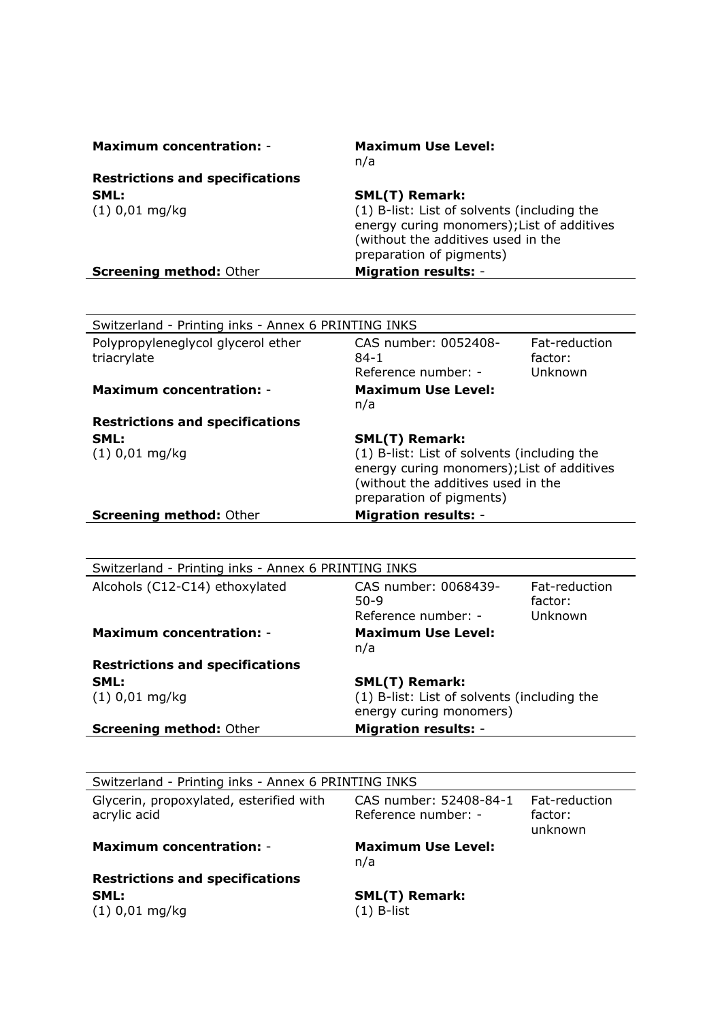| <b>Maximum concentration: -</b>        | <b>Maximum Use Level:</b><br>n/a                                                                                                                            |
|----------------------------------------|-------------------------------------------------------------------------------------------------------------------------------------------------------------|
| <b>Restrictions and specifications</b> |                                                                                                                                                             |
| SML:                                   | <b>SML(T) Remark:</b>                                                                                                                                       |
| $(1)$ 0,01 mg/kg                       | (1) B-list: List of solvents (including the<br>energy curing monomers); List of additives<br>(without the additives used in the<br>preparation of pigments) |
| <b>Screening method: Other</b>         | <b>Migration results: -</b>                                                                                                                                 |

| Switzerland - Printing inks - Annex 6 PRINTING INKS |                                                                                                                                                                                      |                                     |
|-----------------------------------------------------|--------------------------------------------------------------------------------------------------------------------------------------------------------------------------------------|-------------------------------------|
| Polypropyleneglycol glycerol ether<br>triacrylate   | CAS number: 0052408-<br>$84-1$<br>Reference number: -                                                                                                                                | Fat-reduction<br>factor:<br>Unknown |
| <b>Maximum concentration: -</b>                     | <b>Maximum Use Level:</b><br>n/a                                                                                                                                                     |                                     |
| <b>Restrictions and specifications</b>              |                                                                                                                                                                                      |                                     |
| SML:<br>$(1)$ 0,01 mg/kg                            | <b>SML(T) Remark:</b><br>(1) B-list: List of solvents (including the<br>energy curing monomers); List of additives<br>(without the additives used in the<br>preparation of pigments) |                                     |
| <b>Screening method: Other</b>                      | <b>Migration results: -</b>                                                                                                                                                          |                                     |

| Alcohols (C12-C14) ethoxylated         | CAS number: 0068439-<br>$50-9$                                         | Fat-reduction<br>factor: |
|----------------------------------------|------------------------------------------------------------------------|--------------------------|
|                                        | Reference number: -                                                    | Unknown                  |
| <b>Maximum concentration: -</b>        | <b>Maximum Use Level:</b><br>n/a                                       |                          |
| <b>Restrictions and specifications</b> |                                                                        |                          |
| SML:                                   | <b>SML(T) Remark:</b>                                                  |                          |
| $(1)$ 0,01 mg/kg                       | (1) B-list: List of solvents (including the<br>energy curing monomers) |                          |
| <b>Screening method: Other</b>         | <b>Migration results: -</b>                                            |                          |

| Switzerland - Printing inks - Annex 6 PRINTING INKS     |                                               |                                     |  |
|---------------------------------------------------------|-----------------------------------------------|-------------------------------------|--|
| Glycerin, propoxylated, esterified with<br>acrylic acid | CAS number: 52408-84-1<br>Reference number: - | Fat-reduction<br>factor:<br>unknown |  |
| <b>Maximum concentration: -</b>                         | <b>Maximum Use Level:</b><br>n/a              |                                     |  |
| <b>Restrictions and specifications</b>                  |                                               |                                     |  |
| SML:                                                    | <b>SML(T) Remark:</b>                         |                                     |  |
| $(1)$ 0,01 mg/kg                                        | (1) B-list                                    |                                     |  |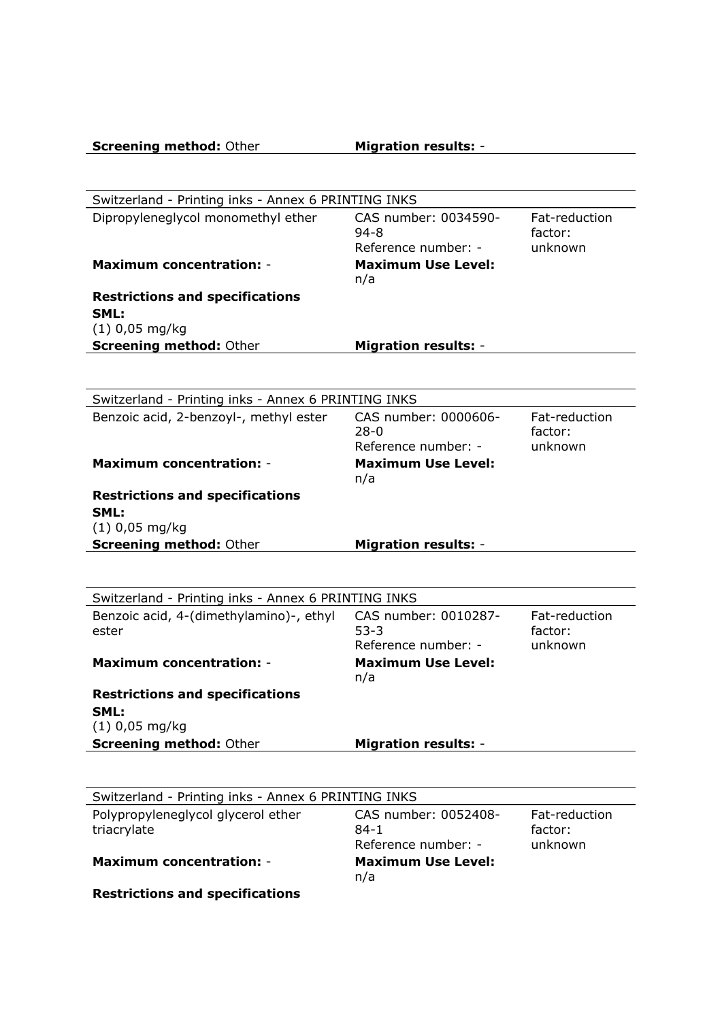| <b>Screening method: Other</b> | <b>Migration results: -</b> |
|--------------------------------|-----------------------------|
|                                |                             |

| Switzerland - Printing inks - Annex 6 PRINTING INKS<br>Dipropyleneglycol monomethyl ether | CAS number: 0034590-                             | Fat-reduction |
|-------------------------------------------------------------------------------------------|--------------------------------------------------|---------------|
|                                                                                           | $94 - 8$                                         | factor:       |
|                                                                                           | Reference number: -                              | unknown       |
| <b>Maximum concentration: -</b>                                                           | <b>Maximum Use Level:</b><br>n/a                 |               |
| <b>Restrictions and specifications</b><br>SML:                                            |                                                  |               |
| $(1)$ 0,05 mg/kg                                                                          |                                                  |               |
| <b>Screening method: Other</b>                                                            | <b>Migration results: -</b>                      |               |
| Switzerland - Printing inks - Annex 6 PRINTING INKS                                       |                                                  |               |
| Benzoic acid, 2-benzoyl-, methyl ester                                                    | CAS number: 0000606-                             | Fat-reduction |
|                                                                                           | $28-0$                                           | factor:       |
| <b>Maximum concentration: -</b>                                                           | Reference number: -<br><b>Maximum Use Level:</b> | unknown       |
|                                                                                           | n/a                                              |               |
| <b>Restrictions and specifications</b>                                                    |                                                  |               |
| SML:<br>$(1)$ 0,05 mg/kg                                                                  |                                                  |               |
| <b>Screening method: Other</b>                                                            | <b>Migration results: -</b>                      |               |
|                                                                                           |                                                  |               |
| Switzerland - Printing inks - Annex 6 PRINTING INKS                                       |                                                  |               |
| Benzoic acid, 4-(dimethylamino)-, ethyl                                                   | CAS number: 0010287-                             | Fat-reduction |
| ester                                                                                     | $53 - 3$                                         | factor:       |
| <b>Maximum concentration: -</b>                                                           | Reference number: -<br><b>Maximum Use Level:</b> | unknown       |
|                                                                                           | n/a                                              |               |
| <b>Restrictions and specifications</b>                                                    |                                                  |               |
| SML:                                                                                      |                                                  |               |
| $(1)$ 0,05 mg/kg                                                                          |                                                  |               |
| <b>Screening method: Other</b>                                                            | <b>Migration results: -</b>                      |               |
| Switzerland - Printing inks - Annex 6 PRINTING INKS                                       |                                                  |               |
| Polypropyleneglycol glycerol ether                                                        | CAS number: 0052408-                             | Fat-reduction |
| triacrylate                                                                               | $84-1$                                           | factor:       |
|                                                                                           | Reference number: -                              | unknown       |
|                                                                                           |                                                  |               |
| <b>Maximum concentration: -</b>                                                           | <b>Maximum Use Level:</b><br>n/a                 |               |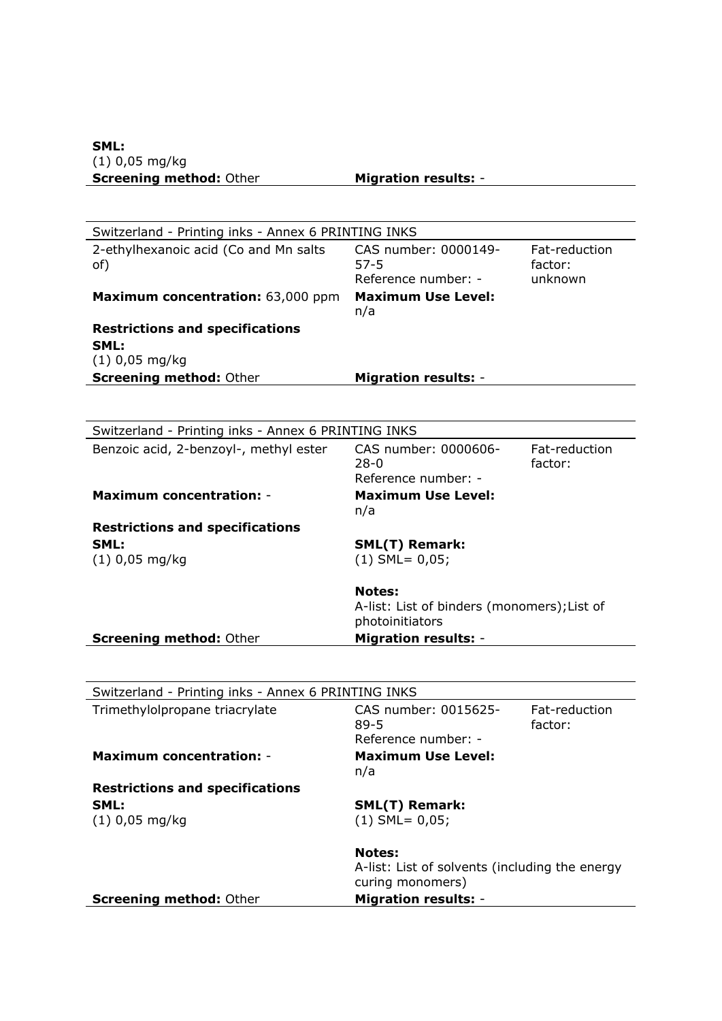| Switzerland - Printing inks - Annex 6 PRINTING INKS |                                                |               |
|-----------------------------------------------------|------------------------------------------------|---------------|
| 2-ethylhexanoic acid (Co and Mn salts               | CAS number: 0000149-                           | Fat-reduction |
| of)                                                 | $57 - 5$                                       | factor:       |
|                                                     | Reference number: -                            | unknown       |
| Maximum concentration: 63,000 ppm                   | <b>Maximum Use Level:</b>                      |               |
|                                                     | n/a                                            |               |
| <b>Restrictions and specifications</b>              |                                                |               |
| SML:                                                |                                                |               |
| $(1)$ 0,05 mg/kg                                    |                                                |               |
| <b>Screening method: Other</b>                      | <b>Migration results: -</b>                    |               |
|                                                     |                                                |               |
|                                                     |                                                |               |
| Switzerland - Printing inks - Annex 6 PRINTING INKS |                                                |               |
| Benzoic acid, 2-benzoyl-, methyl ester              | CAS number: 0000606-                           | Fat-reduction |
|                                                     | $28 - 0$                                       | factor:       |
|                                                     | Reference number: -                            |               |
| <b>Maximum concentration: -</b>                     | <b>Maximum Use Level:</b>                      |               |
|                                                     | n/a                                            |               |
| <b>Restrictions and specifications</b>              |                                                |               |
| SML:                                                | <b>SML(T) Remark:</b>                          |               |
| $(1)$ 0,05 mg/kg                                    | $(1)$ SML= 0,05;                               |               |
|                                                     |                                                |               |
|                                                     | <b>Notes:</b>                                  |               |
|                                                     | A-list: List of binders (monomers); List of    |               |
|                                                     | photoinitiators                                |               |
| <b>Screening method: Other</b>                      | <b>Migration results: -</b>                    |               |
|                                                     |                                                |               |
|                                                     |                                                |               |
| Switzerland - Printing inks - Annex 6 PRINTING INKS |                                                |               |
| Trimethylolpropane triacrylate                      | CAS number: 0015625-                           | Fat-reduction |
|                                                     | $89 - 5$                                       | factor:       |
|                                                     | Reference number: -                            |               |
| <b>Maximum concentration: -</b>                     | <b>Maximum Use Level:</b>                      |               |
|                                                     | n/a                                            |               |
| <b>Restrictions and specifications</b>              |                                                |               |
| SML:                                                | <b>SML(T) Remark:</b>                          |               |
| $(1)$ 0,05 mg/kg                                    | $(1)$ SML= 0,05;                               |               |
|                                                     |                                                |               |
|                                                     | <b>Notes:</b>                                  |               |
|                                                     | A-list: List of solvents (including the energy |               |
|                                                     | curing monomers)                               |               |
| <b>Screening method: Other</b>                      | <b>Migration results: -</b>                    |               |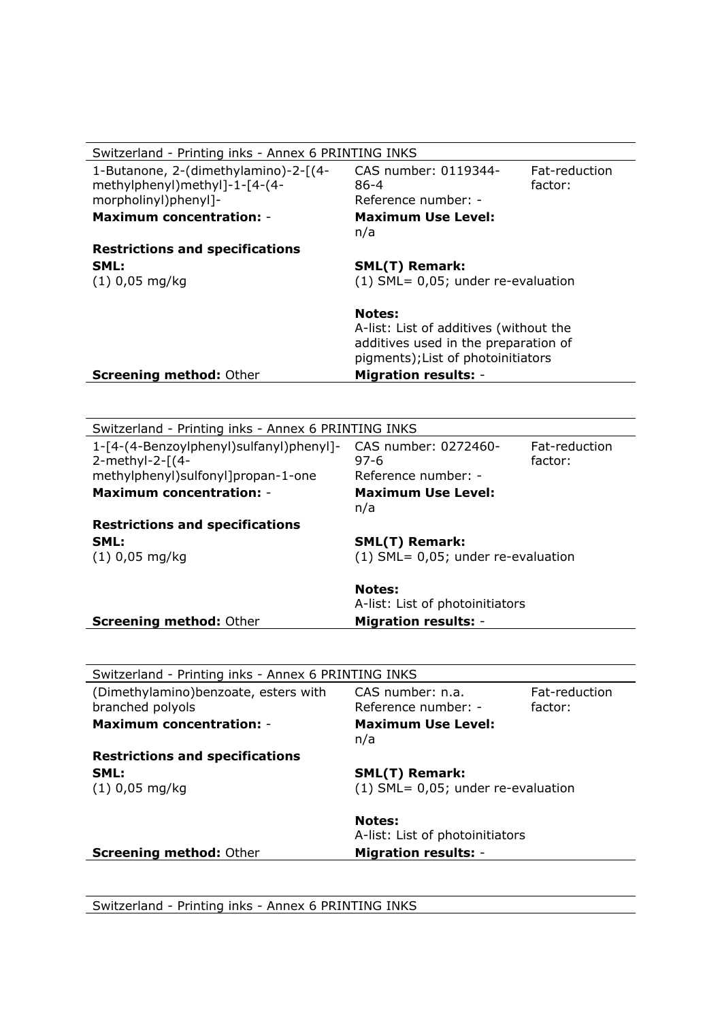| Switzerland - Printing inks - Annex 6 PRINTING INKS                                           |                                                                                                                                                                      |                          |  |
|-----------------------------------------------------------------------------------------------|----------------------------------------------------------------------------------------------------------------------------------------------------------------------|--------------------------|--|
| 1-Butanone, 2-(dimethylamino)-2-[(4-<br>methylphenyl)methyl]-1-[4-(4-<br>morpholinyl)phenyl]- | CAS number: 0119344-<br>86-4<br>Reference number: -                                                                                                                  | Fat-reduction<br>factor: |  |
| <b>Maximum concentration: -</b>                                                               | <b>Maximum Use Level:</b><br>n/a                                                                                                                                     |                          |  |
| <b>Restrictions and specifications</b>                                                        |                                                                                                                                                                      |                          |  |
| SML:                                                                                          | <b>SML(T) Remark:</b>                                                                                                                                                |                          |  |
| $(1)$ 0,05 mg/kg                                                                              | $(1)$ SML= 0,05; under re-evaluation                                                                                                                                 |                          |  |
| <b>Screening method: Other</b>                                                                | <b>Notes:</b><br>A-list: List of additives (without the<br>additives used in the preparation of<br>pigments); List of photoinitiators<br><b>Migration results: -</b> |                          |  |
|                                                                                               |                                                                                                                                                                      |                          |  |

| Switzerland - Printing inks - Annex 6 PRINTING INKS |                                      |               |
|-----------------------------------------------------|--------------------------------------|---------------|
| 1-[4-(4-Benzoylphenyl)sulfanyl)phenyl]-             | CAS number: 0272460-                 | Fat-reduction |
| 2-methyl-2-[(4-                                     | $97 - 6$                             | factor:       |
| methylphenyl)sulfonyl]propan-1-one                  | Reference number: -                  |               |
| <b>Maximum concentration: -</b>                     | <b>Maximum Use Level:</b><br>n/a     |               |
| <b>Restrictions and specifications</b>              |                                      |               |
| SML:                                                | <b>SML(T) Remark:</b>                |               |
| $(1)$ 0,05 mg/kg                                    | $(1)$ SML= 0,05; under re-evaluation |               |
|                                                     |                                      |               |
|                                                     | <b>Notes:</b>                        |               |
|                                                     | A-list: List of photoinitiators      |               |
| <b>Screening method: Other</b>                      | <b>Migration results: -</b>          |               |
|                                                     |                                      |               |
|                                                     |                                      |               |
| Switzerland - Printing inks - Annex 6 PRINTING INKS |                                      |               |
| (Dimethylamino)benzoate, esters with                | CAS number: n.a.                     | Fat-reduction |
| branched polyols                                    | Reference number: -                  | factor:       |
| <b>Maximum concentration: -</b>                     | <b>Maximum Use Level:</b>            |               |
|                                                     | n/a                                  |               |
| <b>Restrictions and specifications</b>              |                                      |               |
| SML:                                                | <b>SML(T) Remark:</b>                |               |
| $(1)$ 0,05 mg/kg                                    | $(1)$ SML= 0,05; under re-evaluation |               |
|                                                     |                                      |               |
|                                                     | <b>Notes:</b>                        |               |
|                                                     | A-list: List of photoinitiators      |               |
| <b>Screening method: Other</b>                      | <b>Migration results: -</b>          |               |
|                                                     |                                      |               |

Switzerland - Printing inks - Annex 6 PRINTING INKS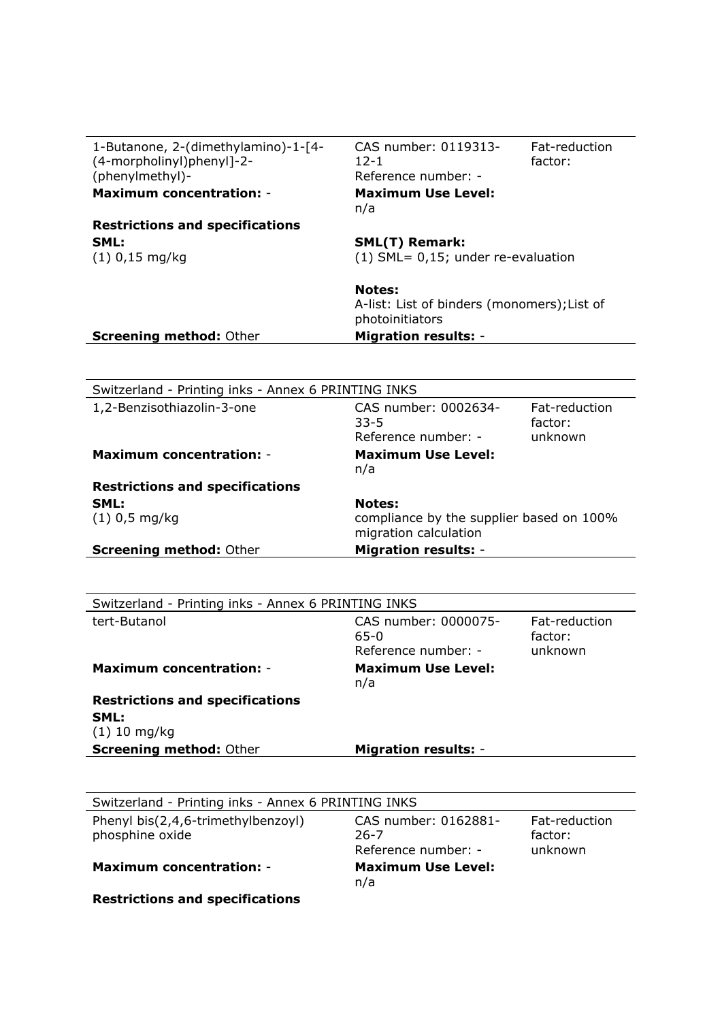| 1-Butanone, 2-(dimethylamino)-1-[4-<br>(4-morpholinyl)phenyl]-2-<br>(phenylmethyl)- | CAS number: 0119313-<br>$12 - 1$<br>Reference number: -                            | Fat-reduction<br>factor: |
|-------------------------------------------------------------------------------------|------------------------------------------------------------------------------------|--------------------------|
| <b>Maximum concentration: -</b>                                                     | <b>Maximum Use Level:</b><br>n/a                                                   |                          |
| <b>Restrictions and specifications</b>                                              |                                                                                    |                          |
| SML:                                                                                | <b>SML(T) Remark:</b>                                                              |                          |
| $(1)$ 0,15 mg/kg                                                                    | $(1)$ SML= 0,15; under re-evaluation                                               |                          |
|                                                                                     | <b>Notes:</b><br>A-list: List of binders (monomers); List of<br>photoinitiators    |                          |
| <b>Screening method: Other</b>                                                      | <b>Migration results: -</b>                                                        |                          |
|                                                                                     |                                                                                    |                          |
| Switzerland - Printing inks - Annex 6 PRINTING INKS                                 |                                                                                    |                          |
| 1,2-Benzisothiazolin-3-one                                                          | CAS number: 0002634-<br>$33 - 5$                                                   | Fat-reduction<br>factor: |
|                                                                                     | Reference number: -                                                                | unknown                  |
| <b>Maximum concentration: -</b>                                                     | <b>Maximum Use Level:</b><br>n/a                                                   |                          |
| <b>Restrictions and specifications</b>                                              |                                                                                    |                          |
| SML:<br>$(1)$ 0,5 mg/kg                                                             | <b>Notes:</b><br>compliance by the supplier based on 100%<br>migration calculation |                          |
| <b>Screening method: Other</b>                                                      | <b>Migration results: -</b>                                                        |                          |
|                                                                                     |                                                                                    |                          |
| Switzerland - Printing inks - Annex 6 PRINTING INKS                                 |                                                                                    |                          |
| tert-Butanol                                                                        | CAS number: 0000075-<br>$65 - 0$                                                   | Fat-reduction<br>factor: |
|                                                                                     | Reference number: -                                                                | unknown                  |
| <b>Maximum concentration: -</b>                                                     | <b>Maximum Use Level:</b>                                                          |                          |
| <b>Restrictions and specifications</b>                                              | n/a                                                                                |                          |
| SML:<br>$(1)$ 10 mg/kg                                                              |                                                                                    |                          |
| <b>Screening method: Other</b>                                                      | <b>Migration results: -</b>                                                        |                          |
|                                                                                     |                                                                                    |                          |
| Switzerland - Printing inks - Annex 6 PRINTING INKS                                 |                                                                                    |                          |
| Phenyl bis(2,4,6-trimethylbenzoyl)                                                  | CAS number: 0162881-                                                               | Fat-reduction            |
| phosphine oxide                                                                     | $26 - 7$<br>Reference number: -                                                    | factor:<br>unknown       |
| <b>Maximum concentration: -</b>                                                     | <b>Maximum Use Level:</b>                                                          |                          |
|                                                                                     | n/a                                                                                |                          |

**Restrictions and specifications**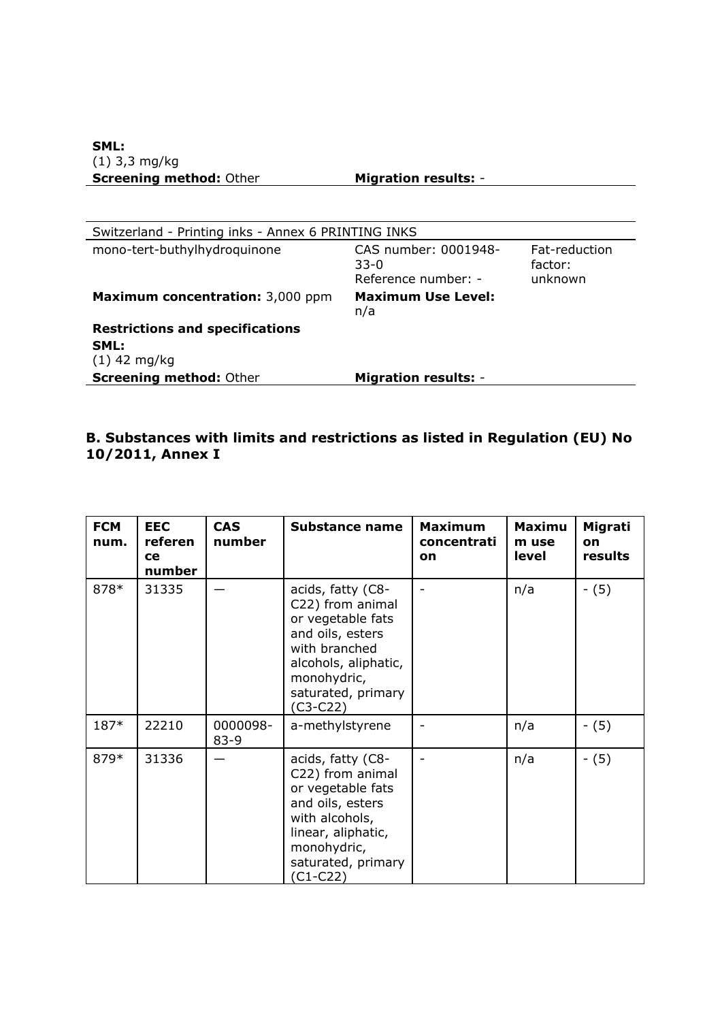| Switzerland - Printing inks - Annex 6 PRINTING INKS |                                                       |                                     |  |
|-----------------------------------------------------|-------------------------------------------------------|-------------------------------------|--|
| mono-tert-buthylhydroquinone                        | CAS number: 0001948-<br>$33-0$<br>Reference number: - | Fat-reduction<br>factor:<br>unknown |  |
| Maximum concentration: 3,000 ppm                    | <b>Maximum Use Level:</b><br>n/a                      |                                     |  |
| <b>Restrictions and specifications</b>              |                                                       |                                     |  |
| SML:                                                |                                                       |                                     |  |
| $(1)$ 42 mg/kg                                      |                                                       |                                     |  |
| <b>Screening method: Other</b>                      | <b>Migration results: -</b>                           |                                     |  |

# **B. Substances with limits and restrictions as listed in Regulation (EU) No 10/2011, Annex I**

| <b>FCM</b><br>num. | <b>EEC</b><br>referen<br><b>ce</b><br>number | <b>CAS</b><br>number | <b>Substance name</b>                                                                                                                                                      | <b>Maximum</b><br>concentrati<br>on | <b>Maximu</b><br>m use<br>level | Migrati<br>on<br>results |
|--------------------|----------------------------------------------|----------------------|----------------------------------------------------------------------------------------------------------------------------------------------------------------------------|-------------------------------------|---------------------------------|--------------------------|
| 878*               | 31335                                        |                      | acids, fatty (C8-<br>C22) from animal<br>or vegetable fats<br>and oils, esters<br>with branched<br>alcohols, aliphatic,<br>monohydric,<br>saturated, primary<br>$(C3-C22)$ |                                     | n/a                             | $- (5)$                  |
| $187*$             | 22210                                        | 0000098-<br>$83 - 9$ | a-methylstyrene                                                                                                                                                            |                                     | n/a                             | $- (5)$                  |
| 879*               | 31336                                        |                      | acids, fatty (C8-<br>C22) from animal<br>or vegetable fats<br>and oils, esters<br>with alcohols,<br>linear, aliphatic,<br>monohydric,<br>saturated, primary<br>(C1-C22)    |                                     | n/a                             | $- (5)$                  |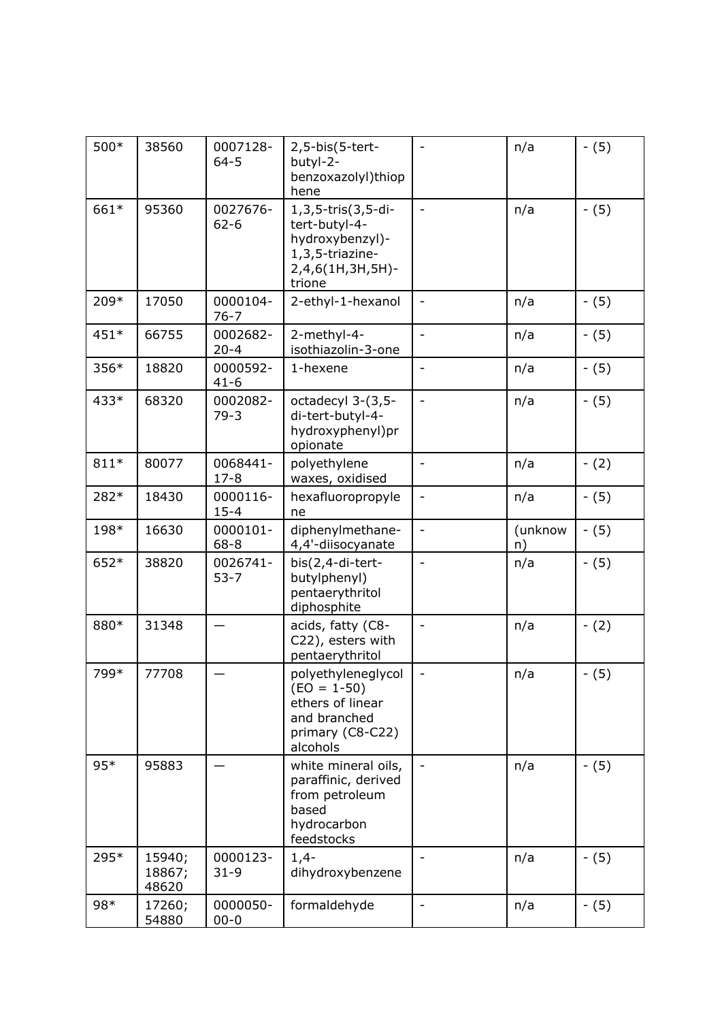| 500*   | 38560                     | 0007128-<br>$64 - 5$ | 2,5-bis(5-tert-<br>butyl-2-<br>benzoxazolyl)thiop<br>hene                                               |                              | n/a           | $- (5)$ |
|--------|---------------------------|----------------------|---------------------------------------------------------------------------------------------------------|------------------------------|---------------|---------|
| 661*   | 95360                     | 0027676-<br>$62 - 6$ | 1,3,5-tris(3,5-di-<br>tert-butyl-4-<br>hydroxybenzyl)-<br>1,3,5-triazine-<br>2,4,6(1H,3H,5H)-<br>trione | $\overline{\phantom{a}}$     | n/a           | $- (5)$ |
| 209*   | 17050                     | 0000104-<br>$76 - 7$ | 2-ethyl-1-hexanol                                                                                       | $\overline{\phantom{0}}$     | n/a           | $- (5)$ |
| 451*   | 66755                     | 0002682-<br>$20 - 4$ | 2-methyl-4-<br>isothiazolin-3-one                                                                       | $\frac{1}{2}$                | n/a           | $- (5)$ |
| 356*   | 18820                     | 0000592-<br>$41 - 6$ | 1-hexene                                                                                                |                              | n/a           | $- (5)$ |
| 433*   | 68320                     | 0002082-<br>$79-3$   | octadecyl 3-(3,5-<br>di-tert-butyl-4-<br>hydroxyphenyl)pr<br>opionate                                   | $\overline{a}$               | n/a           | $- (5)$ |
| $811*$ | 80077                     | 0068441-<br>$17 - 8$ | polyethylene<br>waxes, oxidised                                                                         | $\overline{\phantom{0}}$     | n/a           | $- (2)$ |
| 282*   | 18430                     | 0000116-<br>$15 - 4$ | hexafluoropropyle<br>ne                                                                                 | $\qquad \qquad \blacksquare$ | n/a           | $- (5)$ |
| 198*   | 16630                     | 0000101-<br>$68 - 8$ | diphenylmethane-<br>4,4'-diisocyanate                                                                   | $\overline{a}$               | (unknow<br>n) | $- (5)$ |
| 652*   | 38820                     | 0026741-<br>$53 - 7$ | bis(2,4-di-tert-<br>butylphenyl)<br>pentaerythritol<br>diphosphite                                      |                              | n/a           | $- (5)$ |
| 880*   | 31348                     |                      | acids, fatty (C8-<br>C22), esters with<br>pentaerythritol                                               | $\blacksquare$               | n/a           | $- (2)$ |
| 799*   | 77708                     |                      | polyethyleneglycol<br>$(EO = 1-50)$<br>ethers of linear<br>and branched<br>primary (C8-C22)<br>alcohols | $\overline{\phantom{a}}$     | n/a           | $- (5)$ |
| $95*$  | 95883                     |                      | white mineral oils,<br>paraffinic, derived<br>from petroleum<br>based<br>hydrocarbon<br>feedstocks      |                              | n/a           | $- (5)$ |
| 295*   | 15940;<br>18867;<br>48620 | 0000123-<br>$31 - 9$ | $1,4-$<br>dihydroxybenzene                                                                              | $\qquad \qquad \blacksquare$ | n/a           | $- (5)$ |
| 98*    | 17260;<br>54880           | 0000050-<br>$00 - 0$ | formaldehyde                                                                                            |                              | n/a           | $- (5)$ |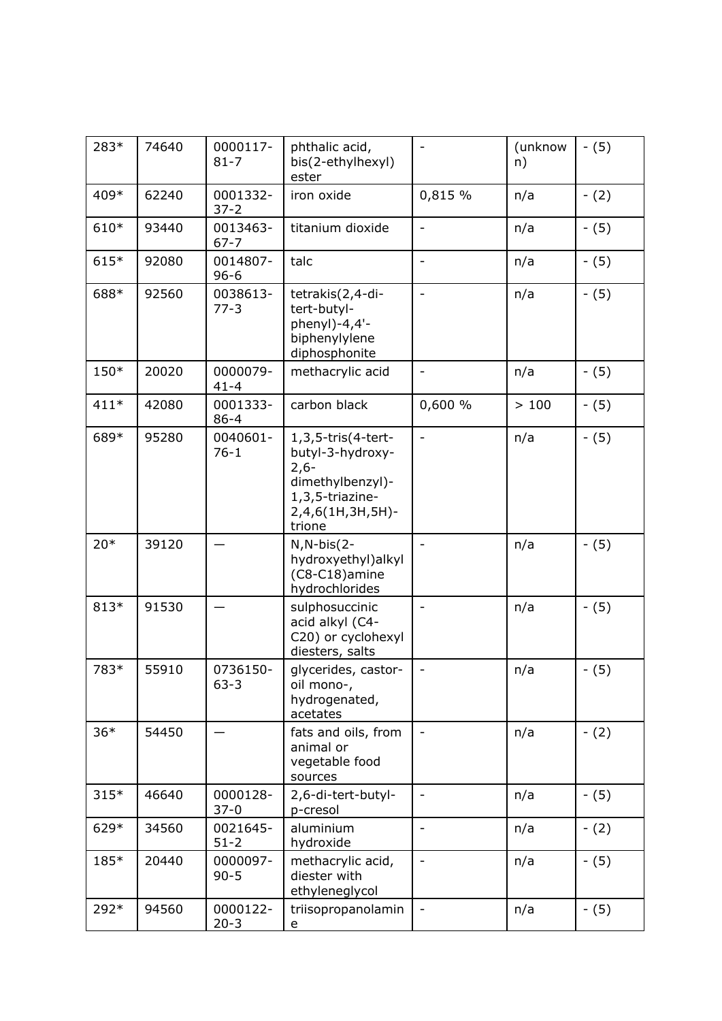| 283*   | 74640 | 0000117-<br>$81 - 7$ | phthalic acid,<br>bis(2-ethylhexyl)<br>ester                                                                          |                              | (unknow<br>n) | $- (5)$ |
|--------|-------|----------------------|-----------------------------------------------------------------------------------------------------------------------|------------------------------|---------------|---------|
| 409*   | 62240 | 0001332-<br>$37 - 2$ | iron oxide                                                                                                            | 0,815 %                      | n/a           | $- (2)$ |
| 610*   | 93440 | 0013463-<br>$67 - 7$ | titanium dioxide                                                                                                      | $\overline{a}$               | n/a           | $- (5)$ |
| $615*$ | 92080 | 0014807-<br>$96 - 6$ | talc                                                                                                                  | $\blacksquare$               | n/a           | $- (5)$ |
| 688*   | 92560 | 0038613-<br>$77-3$   | tetrakis(2,4-di-<br>tert-butyl-<br>phenyl)-4,4'-<br>biphenylylene<br>diphosphonite                                    |                              | n/a           | $- (5)$ |
| 150*   | 20020 | 0000079-<br>$41 - 4$ | methacrylic acid                                                                                                      | $\overline{\phantom{0}}$     | n/a           | $- (5)$ |
| $411*$ | 42080 | 0001333-<br>$86 - 4$ | carbon black                                                                                                          | 0,600 %                      | >100          | $- (5)$ |
| 689*   | 95280 | 0040601-<br>$76 - 1$ | 1,3,5-tris(4-tert-<br>butyl-3-hydroxy-<br>$2,6-$<br>dimethylbenzyl)-<br>1,3,5-triazine-<br>2,4,6(1H,3H,5H)-<br>trione | $\overline{\phantom{0}}$     | n/a           | $- (5)$ |
| $20*$  | 39120 |                      | $N, N-bis(2-)$<br>hydroxyethyl)alkyl<br>(C8-C18)amine<br>hydrochlorides                                               | $\overline{a}$               | n/a           | $- (5)$ |
| 813*   | 91530 |                      | sulphosuccinic<br>acid alkyl (C4-<br>C20) or cyclohexyl<br>diesters, salts                                            | $\overline{a}$               | n/a           | $- (5)$ |
| 783*   | 55910 | 0736150-<br>$63 - 3$ | glycerides, castor-<br>oil mono-,<br>hydrogenated,<br>acetates                                                        | $\qquad \qquad \blacksquare$ | n/a           | $- (5)$ |
| $36*$  | 54450 |                      | fats and oils, from<br>animal or<br>vegetable food<br>sources                                                         |                              | n/a           | $- (2)$ |
| $315*$ | 46640 | 0000128-<br>$37-0$   | 2,6-di-tert-butyl-<br>p-cresol                                                                                        |                              | n/a           | $- (5)$ |
| 629*   | 34560 | 0021645-<br>$51 - 2$ | aluminium<br>hydroxide                                                                                                | $\overline{a}$               | n/a           | $- (2)$ |
| 185*   | 20440 | 0000097-<br>$90 - 5$ | methacrylic acid,<br>diester with<br>ethyleneglycol                                                                   |                              | n/a           | $- (5)$ |
| 292*   | 94560 | 0000122-<br>$20 - 3$ | triisopropanolamin<br>е                                                                                               | $\overline{\phantom{0}}$     | n/a           | $- (5)$ |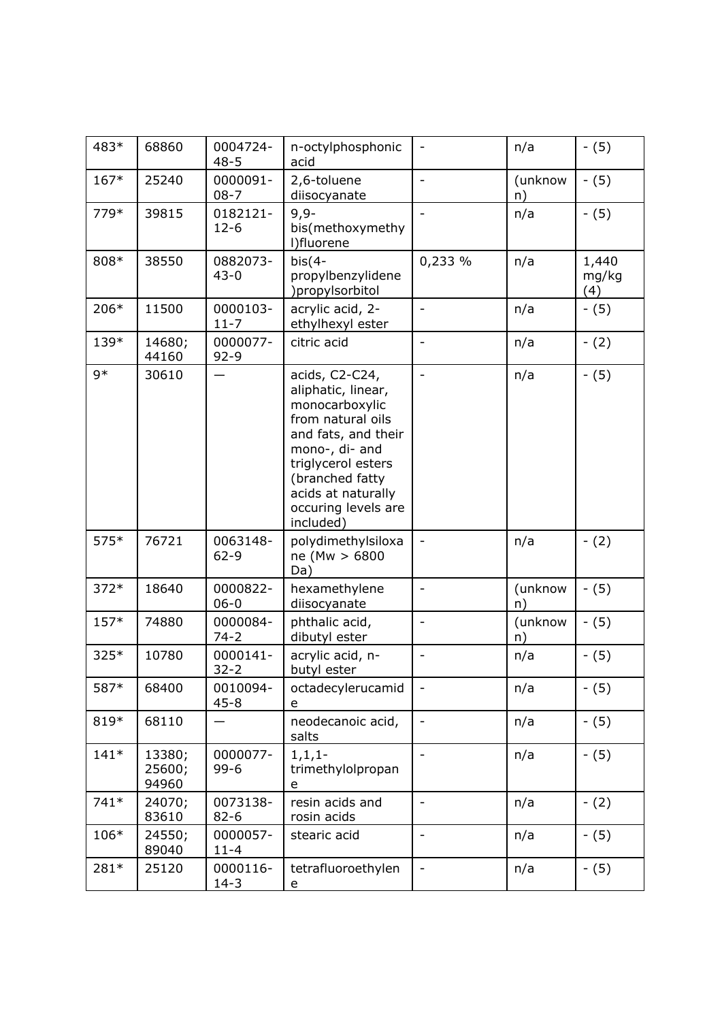| 483*   | 68860                     | 0004724-<br>$48 - 5$ | n-octylphosphonic<br>acid                                                                                                                                                                                               | $\blacksquare$           | n/a           | $- (5)$               |
|--------|---------------------------|----------------------|-------------------------------------------------------------------------------------------------------------------------------------------------------------------------------------------------------------------------|--------------------------|---------------|-----------------------|
| 167*   | 25240                     | 0000091-<br>$08 - 7$ | 2,6-toluene<br>diisocyanate                                                                                                                                                                                             |                          | (unknow<br>n) | $- (5)$               |
| 779*   | 39815                     | 0182121-<br>$12 - 6$ | $9,9-$<br>bis(methoxymethy<br>l)fluorene                                                                                                                                                                                |                          | n/a           | $- (5)$               |
| 808*   | 38550                     | 0882073-<br>$43 - 0$ | $bis(4-$<br>propylbenzylidene<br>)propylsorbitol                                                                                                                                                                        | 0,233 %                  | n/a           | 1,440<br>mg/kg<br>(4) |
| 206*   | 11500                     | 0000103-<br>$11 - 7$ | acrylic acid, 2-<br>ethylhexyl ester                                                                                                                                                                                    |                          | n/a           | $- (5)$               |
| 139*   | 14680;<br>44160           | 0000077-<br>$92 - 9$ | citric acid                                                                                                                                                                                                             | $\blacksquare$           | n/a           | $- (2)$               |
| $9*$   | 30610                     |                      | acids, C2-C24,<br>aliphatic, linear,<br>monocarboxylic<br>from natural oils<br>and fats, and their<br>mono-, di- and<br>triglycerol esters<br>(branched fatty<br>acids at naturally<br>occuring levels are<br>included) | $\frac{1}{2}$            | n/a           | $- (5)$               |
| 575*   | 76721                     | 0063148-<br>$62 - 9$ | polydimethylsiloxa<br>ne (Mw > 6800<br>Da)                                                                                                                                                                              |                          | n/a           | $- (2)$               |
| $372*$ | 18640                     | 0000822-<br>$06 - 0$ | hexamethylene<br>diisocyanate                                                                                                                                                                                           | $\bar{\phantom{a}}$      | (unknow<br>n) | $- (5)$               |
| $157*$ | 74880                     | 0000084-<br>$74 - 2$ | phthalic acid,<br>dibutyl ester                                                                                                                                                                                         |                          | (unknow<br>n) | $- (5)$               |
| $325*$ | 10780                     | 0000141-<br>$32 - 2$ | acrylic acid, n-<br>butyl ester                                                                                                                                                                                         | $\blacksquare$           | n/a           | $- (5)$               |
| 587*   | 68400                     | 0010094-<br>$45 - 8$ | octadecylerucamid<br>e                                                                                                                                                                                                  |                          | n/a           | $- (5)$               |
| 819*   | 68110                     |                      | neodecanoic acid,<br>salts                                                                                                                                                                                              | $\overline{\phantom{a}}$ | n/a           | $- (5)$               |
| $141*$ | 13380;<br>25600;<br>94960 | 0000077-<br>$99 - 6$ | $1, 1, 1$ -<br>trimethylolpropan<br>e                                                                                                                                                                                   | $\frac{1}{2}$            | n/a           | $- (5)$               |
| $741*$ | 24070;<br>83610           | 0073138-<br>$82 - 6$ | resin acids and<br>rosin acids                                                                                                                                                                                          |                          | n/a           | $- (2)$               |
| 106*   | 24550;<br>89040           | 0000057-<br>$11 - 4$ | stearic acid                                                                                                                                                                                                            | $\overline{\phantom{a}}$ | n/a           | $- (5)$               |
| 281*   | 25120                     | 0000116-<br>$14 - 3$ | tetrafluoroethylen<br>e                                                                                                                                                                                                 |                          | n/a           | $- (5)$               |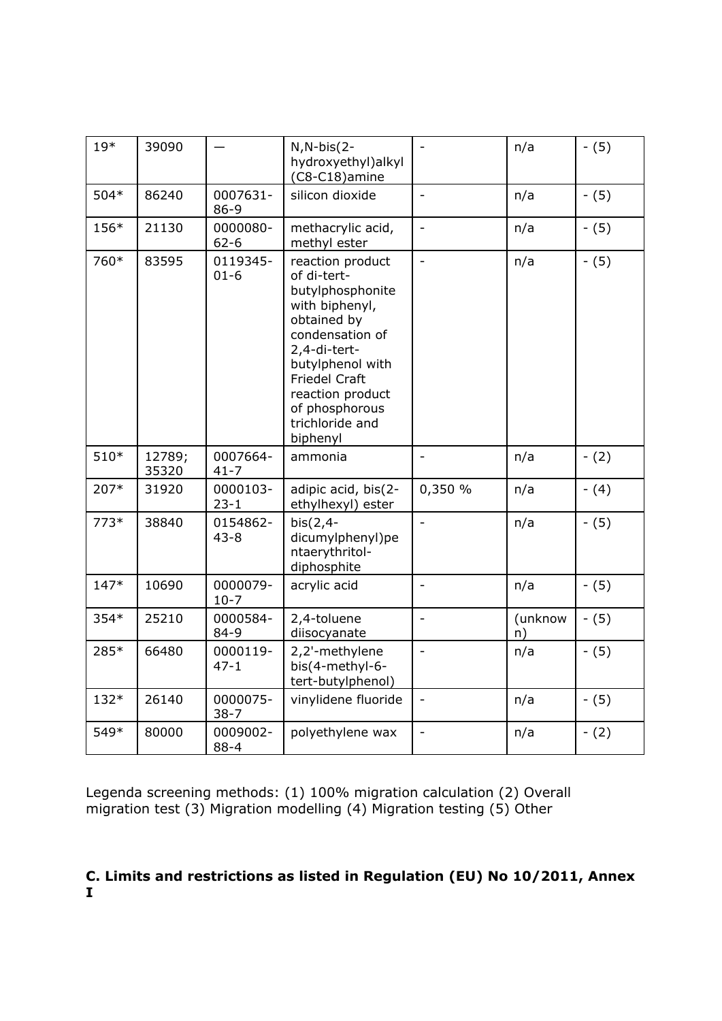| $19*$  | 39090           |                      | $N, N-bis(2-$<br>hydroxyethyl)alkyl<br>(C8-C18)amine                                                                                                                                                                                     | $\frac{1}{2}$            | n/a           | $- (5)$ |
|--------|-----------------|----------------------|------------------------------------------------------------------------------------------------------------------------------------------------------------------------------------------------------------------------------------------|--------------------------|---------------|---------|
| 504*   | 86240           | 0007631-<br>86-9     | silicon dioxide                                                                                                                                                                                                                          | $\overline{\phantom{a}}$ | n/a           | $- (5)$ |
| 156*   | 21130           | 0000080-<br>$62 - 6$ | methacrylic acid,<br>methyl ester                                                                                                                                                                                                        | $\blacksquare$           | n/a           | $- (5)$ |
| 760*   | 83595           | 0119345-<br>$01 - 6$ | reaction product<br>of di-tert-<br>butylphosphonite<br>with biphenyl,<br>obtained by<br>condensation of<br>2,4-di-tert-<br>butylphenol with<br><b>Friedel Craft</b><br>reaction product<br>of phosphorous<br>trichloride and<br>biphenyl | $\blacksquare$           | n/a           | $- (5)$ |
| $510*$ | 12789;<br>35320 | 0007664-<br>$41 - 7$ | ammonia                                                                                                                                                                                                                                  |                          | n/a           | $- (2)$ |
| 207*   | 31920           | 0000103-<br>$23 - 1$ | adipic acid, bis(2-<br>ethylhexyl) ester                                                                                                                                                                                                 | 0,350 %                  | n/a           | $- (4)$ |
| $773*$ | 38840           | 0154862-<br>$43 - 8$ | $bis(2,4-$<br>dicumylphenyl)pe<br>ntaerythritol-<br>diphosphite                                                                                                                                                                          | L,                       | n/a           | $- (5)$ |
| $147*$ | 10690           | 0000079-<br>$10-7$   | acrylic acid                                                                                                                                                                                                                             | $\bar{\phantom{a}}$      | n/a           | $- (5)$ |
| 354*   | 25210           | 0000584-<br>$84 - 9$ | 2,4-toluene<br>diisocyanate                                                                                                                                                                                                              | $\Box$                   | (unknow<br>n) | $- (5)$ |
| 285*   | 66480           | 0000119-<br>$47 - 1$ | 2,2'-methylene<br>bis(4-methyl-6-<br>tert-butylphenol)                                                                                                                                                                                   | $\overline{\phantom{a}}$ | n/a           | $- (5)$ |
| 132*   | 26140           | 0000075-<br>$38 - 7$ | vinylidene fluoride                                                                                                                                                                                                                      | $\blacksquare$           | n/a           | $- (5)$ |
| 549*   | 80000           | 0009002-<br>$88 - 4$ | polyethylene wax                                                                                                                                                                                                                         | $\overline{a}$           | n/a           | $- (2)$ |

Legenda screening methods: (1) 100% migration calculation (2) Overall migration test (3) Migration modelling (4) Migration testing (5) Other

# **C. Limits and restrictions as listed in Regulation (EU) No 10/2011, Annex I**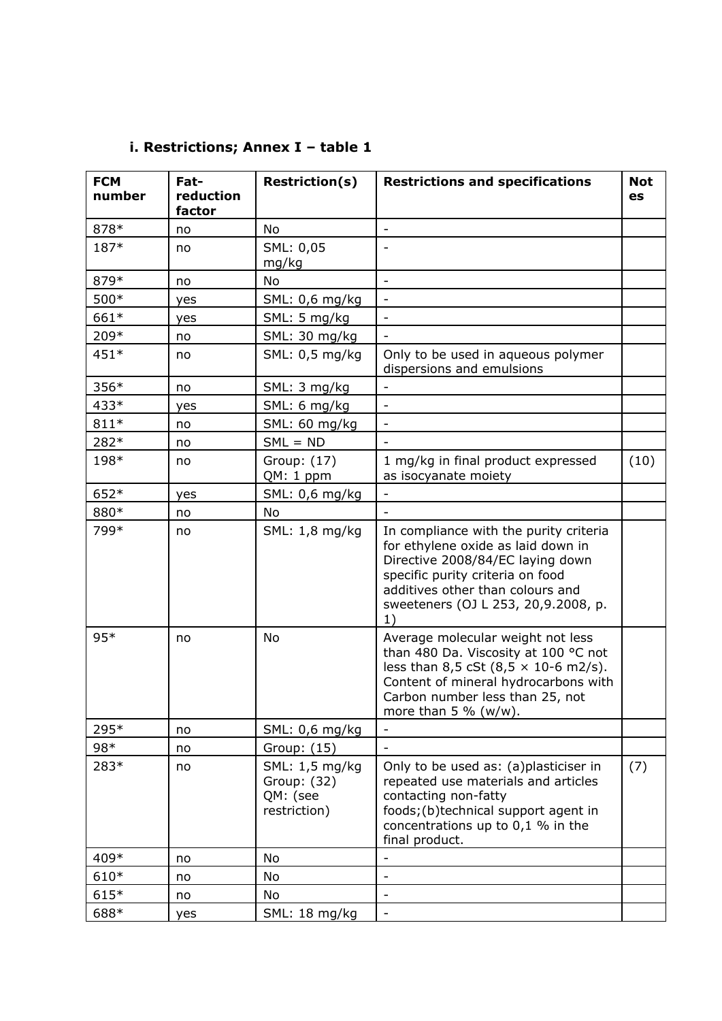| <b>FCM</b><br>number | Fat-<br>reduction<br>factor | <b>Restriction(s)</b>                                     | <b>Restrictions and specifications</b>                                                                                                                                                                                                  | <b>Not</b><br>es |
|----------------------|-----------------------------|-----------------------------------------------------------|-----------------------------------------------------------------------------------------------------------------------------------------------------------------------------------------------------------------------------------------|------------------|
| 878*                 | no                          | No                                                        | $\overline{\phantom{a}}$                                                                                                                                                                                                                |                  |
| 187*                 | no                          | SML: 0,05<br>mg/kg                                        |                                                                                                                                                                                                                                         |                  |
| 879*                 | no                          | No                                                        | $\overline{\phantom{a}}$                                                                                                                                                                                                                |                  |
| 500*                 | yes                         | SML: 0,6 mg/kg                                            | $\overline{\phantom{m}}$                                                                                                                                                                                                                |                  |
| 661*                 | yes                         | SML: 5 mg/kg                                              |                                                                                                                                                                                                                                         |                  |
| 209*                 | no                          | SML: 30 mg/kg                                             |                                                                                                                                                                                                                                         |                  |
| 451*                 | no                          | SML: 0,5 mg/kg                                            | Only to be used in aqueous polymer<br>dispersions and emulsions                                                                                                                                                                         |                  |
| 356*                 | no                          | SML: 3 mg/kg                                              | -                                                                                                                                                                                                                                       |                  |
| 433*                 | yes                         | SML: 6 mg/kg                                              |                                                                                                                                                                                                                                         |                  |
| $811*$               | no                          | SML: 60 mg/kg                                             | $\overline{\phantom{0}}$                                                                                                                                                                                                                |                  |
| 282*                 | no                          | $SML = ND$                                                |                                                                                                                                                                                                                                         |                  |
| 198*                 | no                          | Group: (17)<br>QM: 1 ppm                                  | 1 mg/kg in final product expressed<br>as isocyanate moiety                                                                                                                                                                              | (10)             |
| 652*                 | yes                         | SML: 0,6 mg/kg                                            |                                                                                                                                                                                                                                         |                  |
| 880*                 | no                          | No                                                        |                                                                                                                                                                                                                                         |                  |
| 799*                 | no                          | SML: 1,8 mg/kg                                            | In compliance with the purity criteria<br>for ethylene oxide as laid down in<br>Directive 2008/84/EC laying down<br>specific purity criteria on food<br>additives other than colours and<br>sweeteners (OJ L 253, 20,9.2008, p.<br>1)   |                  |
| $95*$                | no                          | No                                                        | Average molecular weight not less<br>than 480 Da. Viscosity at 100 °C not<br>less than 8,5 cSt $(8,5 \times 10{-6} \text{ m2/s}).$<br>Content of mineral hydrocarbons with<br>Carbon number less than 25, not<br>more than $5\%$ (w/w). |                  |
| 295*                 | no                          | SML: 0,6 mg/kg                                            | $\overline{\phantom{0}}$                                                                                                                                                                                                                |                  |
| 98*                  | no                          | Group: (15)                                               |                                                                                                                                                                                                                                         |                  |
| 283*                 | no                          | SML: 1,5 mg/kg<br>Group: (32)<br>QM: (see<br>restriction) | Only to be used as: (a)plasticiser in<br>repeated use materials and articles<br>contacting non-fatty<br>foods; (b)technical support agent in<br>concentrations up to $0,1$ % in the<br>final product.                                   | (7)              |
| 409*                 | no                          | No                                                        | $\overline{\phantom{0}}$                                                                                                                                                                                                                |                  |
| 610*                 | no                          | No                                                        | $\overline{\phantom{0}}$                                                                                                                                                                                                                |                  |
| 615*                 | no                          | No                                                        | $\overline{\phantom{0}}$                                                                                                                                                                                                                |                  |
| 688*                 | yes                         | SML: 18 mg/kg                                             | $\overline{\phantom{0}}$                                                                                                                                                                                                                |                  |

# **i. Restrictions; Annex I – table 1**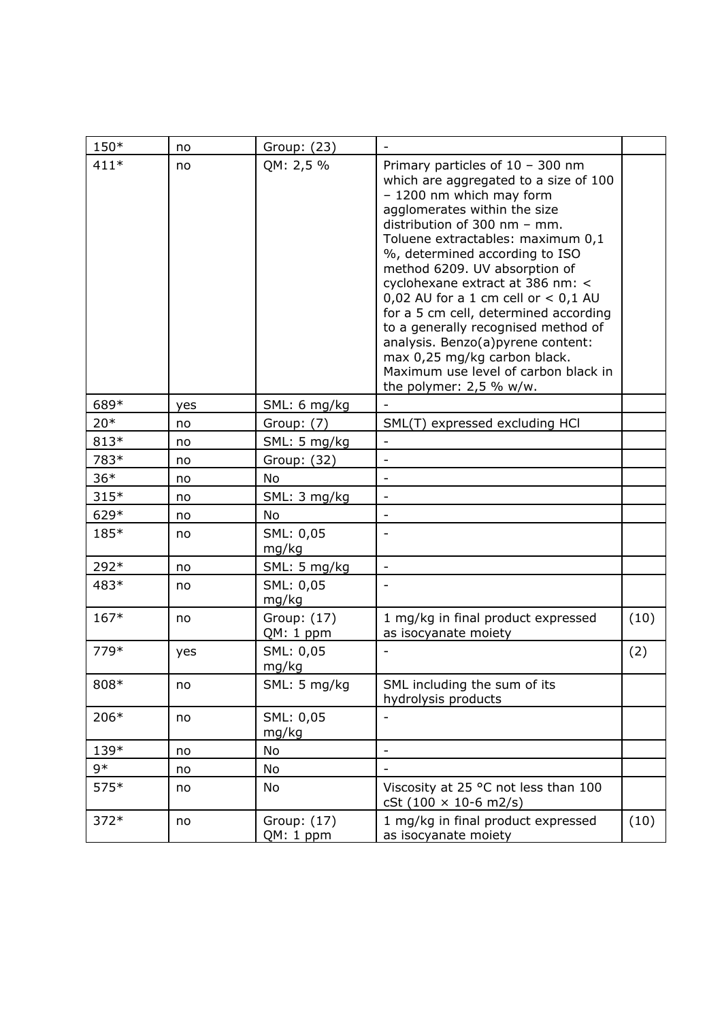| 150*   | no  | Group: (23)              |                                                                                                                                                                                                                                                                                                                                                                                                                                                                                                                                                                                        |      |
|--------|-----|--------------------------|----------------------------------------------------------------------------------------------------------------------------------------------------------------------------------------------------------------------------------------------------------------------------------------------------------------------------------------------------------------------------------------------------------------------------------------------------------------------------------------------------------------------------------------------------------------------------------------|------|
| $411*$ | no  | QM: 2,5 %                | Primary particles of $10 - 300$ nm<br>which are aggregated to a size of 100<br>- 1200 nm which may form<br>agglomerates within the size<br>distribution of 300 nm - mm.<br>Toluene extractables: maximum 0,1<br>%, determined according to ISO<br>method 6209. UV absorption of<br>cyclohexane extract at 386 nm: <<br>0,02 AU for a 1 cm cell or $<$ 0,1 AU<br>for a 5 cm cell, determined according<br>to a generally recognised method of<br>analysis. Benzo(a)pyrene content:<br>max 0,25 mg/kg carbon black.<br>Maximum use level of carbon black in<br>the polymer: $2,5$ % w/w. |      |
| 689*   | yes | SML: 6 mg/kg             |                                                                                                                                                                                                                                                                                                                                                                                                                                                                                                                                                                                        |      |
| $20*$  | no  | Group: (7)               | SML(T) expressed excluding HCl                                                                                                                                                                                                                                                                                                                                                                                                                                                                                                                                                         |      |
| 813*   | no  | SML: 5 mg/kg             | $\overline{\phantom{a}}$                                                                                                                                                                                                                                                                                                                                                                                                                                                                                                                                                               |      |
| 783*   | no  | Group: (32)              |                                                                                                                                                                                                                                                                                                                                                                                                                                                                                                                                                                                        |      |
| $36*$  | no  | No                       | $\overline{\phantom{a}}$                                                                                                                                                                                                                                                                                                                                                                                                                                                                                                                                                               |      |
| $315*$ | no  | SML: 3 mg/kg             | $\overline{\phantom{a}}$                                                                                                                                                                                                                                                                                                                                                                                                                                                                                                                                                               |      |
| 629*   | no  | No                       | $\overline{\phantom{a}}$                                                                                                                                                                                                                                                                                                                                                                                                                                                                                                                                                               |      |
| 185*   | no  | SML: 0,05<br>mg/kg       |                                                                                                                                                                                                                                                                                                                                                                                                                                                                                                                                                                                        |      |
| 292*   | no  | SML: 5 mg/kg             | $\overline{\phantom{a}}$                                                                                                                                                                                                                                                                                                                                                                                                                                                                                                                                                               |      |
| 483*   | no  | SML: 0,05<br>mg/kg       |                                                                                                                                                                                                                                                                                                                                                                                                                                                                                                                                                                                        |      |
| $167*$ | no  | Group: (17)<br>QM: 1 ppm | 1 mg/kg in final product expressed<br>as isocyanate moiety                                                                                                                                                                                                                                                                                                                                                                                                                                                                                                                             | (10) |
| 779*   | yes | SML: 0,05<br>mg/kg       |                                                                                                                                                                                                                                                                                                                                                                                                                                                                                                                                                                                        | (2)  |
| 808*   | no  | SML: 5 mg/kg             | SML including the sum of its<br>hydrolysis products                                                                                                                                                                                                                                                                                                                                                                                                                                                                                                                                    |      |
| 206*   | no  | SML: 0,05<br>mg/kg       |                                                                                                                                                                                                                                                                                                                                                                                                                                                                                                                                                                                        |      |
| 139*   | no  | No                       |                                                                                                                                                                                                                                                                                                                                                                                                                                                                                                                                                                                        |      |
| $9*$   | no  | No                       |                                                                                                                                                                                                                                                                                                                                                                                                                                                                                                                                                                                        |      |
| 575*   | no  | No                       | Viscosity at 25 °C not less than 100<br>cSt $(100 \times 10{-6}$ m2/s)                                                                                                                                                                                                                                                                                                                                                                                                                                                                                                                 |      |
| $372*$ | no  | Group: (17)<br>QM: 1 ppm | 1 mg/kg in final product expressed<br>as isocyanate moiety                                                                                                                                                                                                                                                                                                                                                                                                                                                                                                                             | (10) |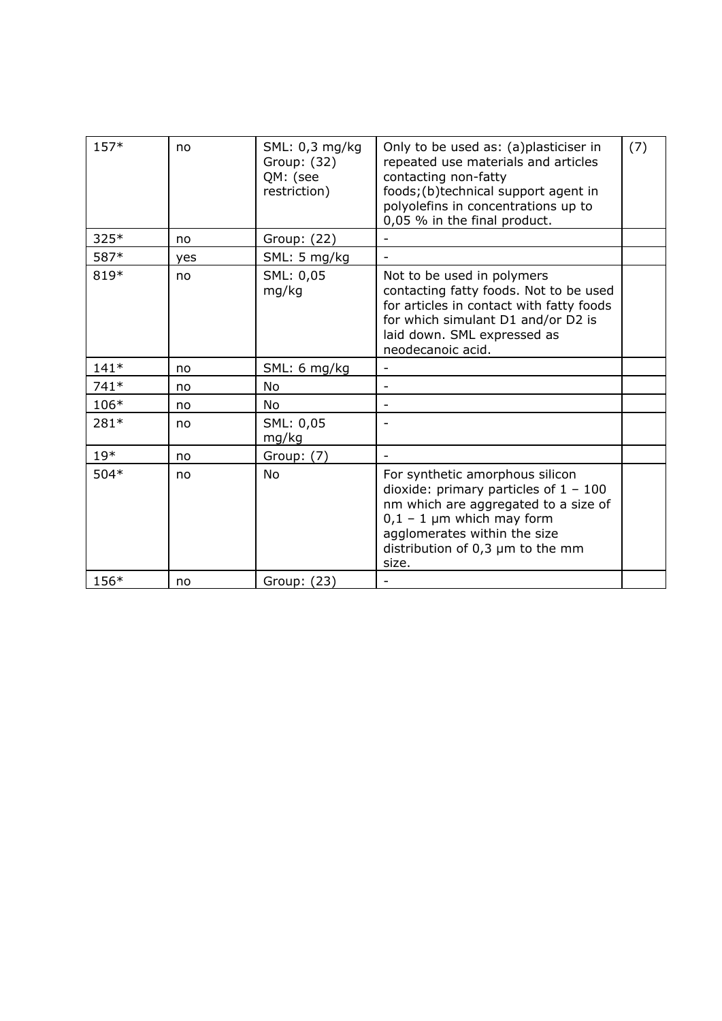| $157*$ | no  | SML: 0,3 mg/kg<br>Group: (32)<br>QM: (see<br>restriction) | Only to be used as: (a)plasticiser in<br>repeated use materials and articles<br>contacting non-fatty<br>foods; (b)technical support agent in<br>polyolefins in concentrations up to<br>0,05 % in the final product.                 | (7) |
|--------|-----|-----------------------------------------------------------|-------------------------------------------------------------------------------------------------------------------------------------------------------------------------------------------------------------------------------------|-----|
| $325*$ | no  | Group: (22)                                               |                                                                                                                                                                                                                                     |     |
| 587*   | yes | SML: 5 mg/kg                                              | ۰                                                                                                                                                                                                                                   |     |
| 819*   | no  | SML: 0,05<br>mg/kg                                        | Not to be used in polymers<br>contacting fatty foods. Not to be used<br>for articles in contact with fatty foods<br>for which simulant D1 and/or D2 is<br>laid down. SML expressed as<br>neodecanoic acid.                          |     |
| $141*$ | no  | SML: 6 mg/kg                                              |                                                                                                                                                                                                                                     |     |
| $741*$ | no  | No                                                        |                                                                                                                                                                                                                                     |     |
| 106*   | no  | No                                                        | -                                                                                                                                                                                                                                   |     |
| 281*   | no  | SML: 0,05<br>mg/kg                                        |                                                                                                                                                                                                                                     |     |
| $19*$  | no  | Group: (7)                                                |                                                                                                                                                                                                                                     |     |
| 504*   | no  | No                                                        | For synthetic amorphous silicon<br>dioxide: primary particles of $1 - 100$<br>nm which are aggregated to a size of<br>$0,1 - 1$ µm which may form<br>agglomerates within the size<br>distribution of $0,3 \mu m$ to the mm<br>size. |     |
| 156*   | no  | Group: (23)                                               |                                                                                                                                                                                                                                     |     |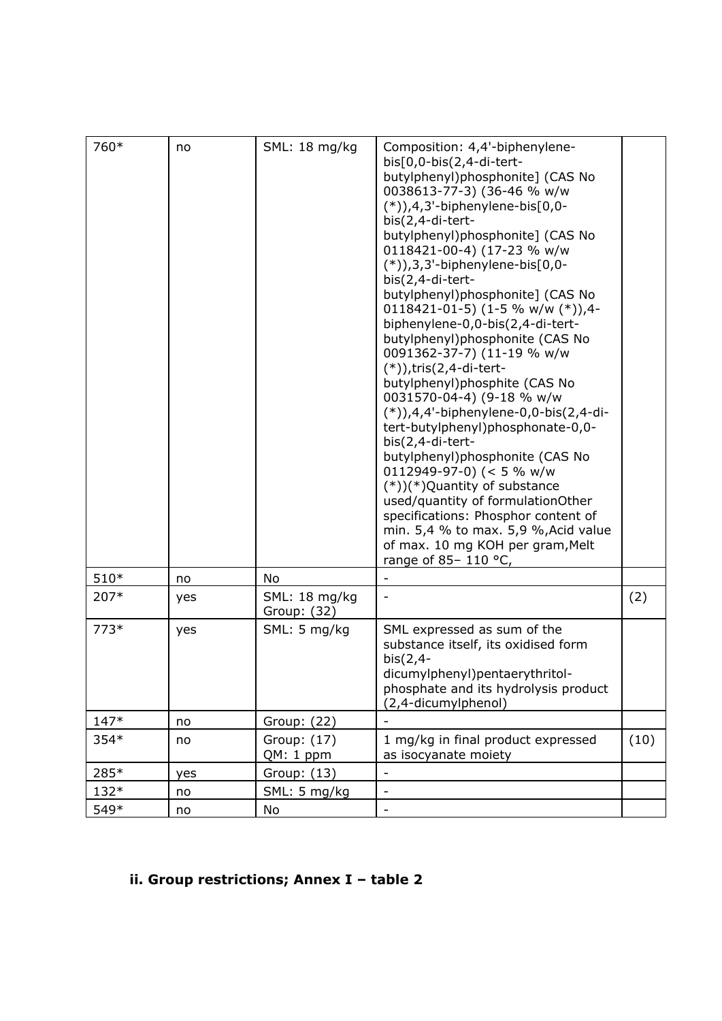| 760*   | no. | SML: 18 mg/kg                | Composition: 4,4'-biphenylene-<br>$bis[0,0-bis(2,4-di-tert-$<br>butylphenyl)phosphonite] (CAS No<br>0038613-77-3) (36-46 % w/w<br>$(*)$ ),4,3'-biphenylene-bis $[0,0-$<br>bis(2,4-di-tert-<br>butylphenyl)phosphonite] (CAS No<br>0118421-00-4) (17-23 % w/w<br>$(*)$ ), 3, 3'-biphenylene-bis $[0,0-$<br>bis(2,4-di-tert-<br>butylphenyl)phosphonite] (CAS No<br>0118421-01-5) (1-5 % w/w $(*)$ ),4-<br>biphenylene-0,0-bis(2,4-di-tert-<br>butylphenyl)phosphonite (CAS No<br>0091362-37-7) (11-19 % w/w<br>$(*)$ ), tris $(2, 4$ -di-tert-<br>butylphenyl)phosphite (CAS No<br>0031570-04-4) (9-18 % w/w<br>$(*)$ ),4,4'-biphenylene-0,0-bis(2,4-di-<br>tert-butylphenyl)phosphonate-0,0-<br>bis(2,4-di-tert-<br>butylphenyl)phosphonite (CAS No<br>0112949-97-0) (< 5 % w/w<br>$(*)$ )(*)Quantity of substance<br>used/quantity of formulationOther<br>specifications: Phosphor content of<br>min. $5,4$ % to max. $5,9$ %, Acid value<br>of max. 10 mg KOH per gram, Melt<br>range of 85-110 °C, |      |
|--------|-----|------------------------------|-------------------------------------------------------------------------------------------------------------------------------------------------------------------------------------------------------------------------------------------------------------------------------------------------------------------------------------------------------------------------------------------------------------------------------------------------------------------------------------------------------------------------------------------------------------------------------------------------------------------------------------------------------------------------------------------------------------------------------------------------------------------------------------------------------------------------------------------------------------------------------------------------------------------------------------------------------------------------------------------------------|------|
| $510*$ | no  | No                           |                                                                                                                                                                                                                                                                                                                                                                                                                                                                                                                                                                                                                                                                                                                                                                                                                                                                                                                                                                                                       |      |
| 207*   | yes | SML: 18 mg/kg<br>Group: (32) |                                                                                                                                                                                                                                                                                                                                                                                                                                                                                                                                                                                                                                                                                                                                                                                                                                                                                                                                                                                                       | (2)  |
| $773*$ | yes | SML: 5 mg/kg                 | SML expressed as sum of the<br>substance itself, its oxidised form<br>$bis(2,4-$<br>dicumylphenyl)pentaerythritol-<br>phosphate and its hydrolysis product<br>(2,4-dicumylphenol)                                                                                                                                                                                                                                                                                                                                                                                                                                                                                                                                                                                                                                                                                                                                                                                                                     |      |
| $147*$ | no  | Group: (22)                  |                                                                                                                                                                                                                                                                                                                                                                                                                                                                                                                                                                                                                                                                                                                                                                                                                                                                                                                                                                                                       |      |
| 354*   | no  | Group: (17)<br>QM: 1 ppm     | 1 mg/kg in final product expressed<br>as isocyanate moiety                                                                                                                                                                                                                                                                                                                                                                                                                                                                                                                                                                                                                                                                                                                                                                                                                                                                                                                                            | (10) |
| 285*   | yes | Group: (13)                  |                                                                                                                                                                                                                                                                                                                                                                                                                                                                                                                                                                                                                                                                                                                                                                                                                                                                                                                                                                                                       |      |
| 132*   | no  | SML: 5 mg/kg                 | $\overline{\phantom{a}}$                                                                                                                                                                                                                                                                                                                                                                                                                                                                                                                                                                                                                                                                                                                                                                                                                                                                                                                                                                              |      |
| 549*   | no  | No                           | $\overline{\phantom{0}}$                                                                                                                                                                                                                                                                                                                                                                                                                                                                                                                                                                                                                                                                                                                                                                                                                                                                                                                                                                              |      |

# **ii. Group restrictions; Annex I – table 2**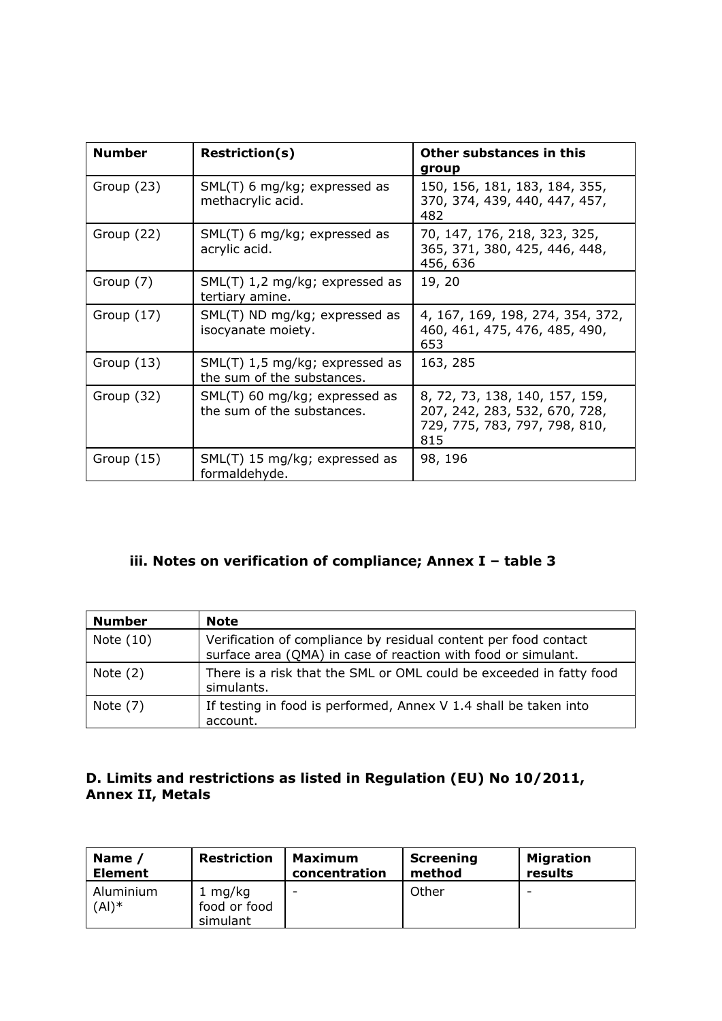| <b>Number</b> | <b>Restriction(s)</b>                                        | Other substances in this<br>group                                                                       |
|---------------|--------------------------------------------------------------|---------------------------------------------------------------------------------------------------------|
| Group (23)    | SML(T) 6 mg/kg; expressed as<br>methacrylic acid.            | 150, 156, 181, 183, 184, 355,<br>370, 374, 439, 440, 447, 457,<br>482                                   |
| Group (22)    | SML(T) 6 mg/kg; expressed as<br>acrylic acid.                | 70, 147, 176, 218, 323, 325,<br>365, 371, 380, 425, 446, 448,<br>456, 636                               |
| Group (7)     | SML(T) 1,2 mg/kg; expressed as<br>tertiary amine.            | 19, 20                                                                                                  |
| Group $(17)$  | SML(T) ND mg/kg; expressed as<br>isocyanate moiety.          | 4, 167, 169, 198, 274, 354, 372,<br>460, 461, 475, 476, 485, 490,<br>653                                |
| Group $(13)$  | SML(T) 1,5 mg/kg; expressed as<br>the sum of the substances. | 163, 285                                                                                                |
| Group (32)    | SML(T) 60 mg/kg; expressed as<br>the sum of the substances.  | 8, 72, 73, 138, 140, 157, 159,<br>207, 242, 283, 532, 670, 728,<br>729, 775, 783, 797, 798, 810,<br>815 |
| Group $(15)$  | SML(T) 15 mg/kg; expressed as<br>formaldehyde.               | 98, 196                                                                                                 |

# **iii. Notes on verification of compliance; Annex I – table 3**

| <b>Number</b> | <b>Note</b>                                                                                                                      |
|---------------|----------------------------------------------------------------------------------------------------------------------------------|
| Note (10)     | Verification of compliance by residual content per food contact<br>surface area (QMA) in case of reaction with food or simulant. |
| Note $(2)$    | There is a risk that the SML or OML could be exceeded in fatty food<br>simulants.                                                |
| Note $(7)$    | If testing in food is performed, Annex V 1.4 shall be taken into<br>account.                                                     |

## **D. Limits and restrictions as listed in Regulation (EU) No 10/2011, Annex II, Metals**

| Name /                | <b>Restriction</b>                  | <b>Maximum</b> | <b>Screening</b> | <b>Migration</b> |
|-----------------------|-------------------------------------|----------------|------------------|------------------|
| <b>Element</b>        |                                     | concentration  | method           | results          |
| Aluminium<br>$(AI)^*$ | 1 mg/kg<br>food or food<br>simulant | -              | Other            | -                |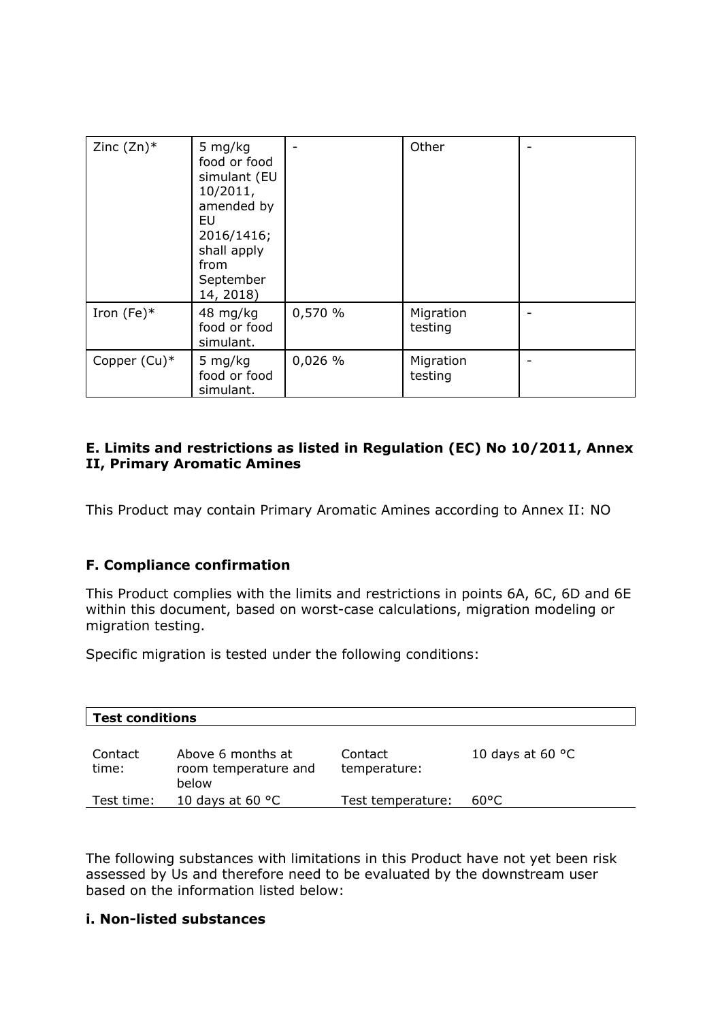| Zinc $(Zn)^*$ | 5 mg/kg<br>food or food<br>simulant (EU<br>10/2011,<br>amended by<br>EU<br>2016/1416;<br>shall apply<br>from<br>September<br>14, 2018) |         | Other                |  |
|---------------|----------------------------------------------------------------------------------------------------------------------------------------|---------|----------------------|--|
| Iron (Fe) $*$ | 48 mg/kg<br>food or food<br>simulant.                                                                                                  | 0,570 % | Migration<br>testing |  |
| Copper (Cu)*  | 5 mg/kg<br>food or food<br>simulant.                                                                                                   | 0,026 % | Migration<br>testing |  |

# **E. Limits and restrictions as listed in Regulation (EC) No 10/2011, Annex II, Primary Aromatic Amines**

This Product may contain Primary Aromatic Amines according to Annex II: NO

# **F. Compliance confirmation**

This Product complies with the limits and restrictions in points 6A, 6C, 6D and 6E within this document, based on worst-case calculations, migration modeling or migration testing.

Specific migration is tested under the following conditions:

| <b>Test conditions</b> |                                                    |                         |                           |  |  |
|------------------------|----------------------------------------------------|-------------------------|---------------------------|--|--|
| Contact<br>time:       | Above 6 months at<br>room temperature and<br>below | Contact<br>temperature: | 10 days at 60 $\degree$ C |  |  |
| Test time:             | 10 days at 60 $\degree$ C                          | Test temperature:       | 60°C                      |  |  |

The following substances with limitations in this Product have not yet been risk assessed by Us and therefore need to be evaluated by the downstream user based on the information listed below:

#### **i. Non-listed substances**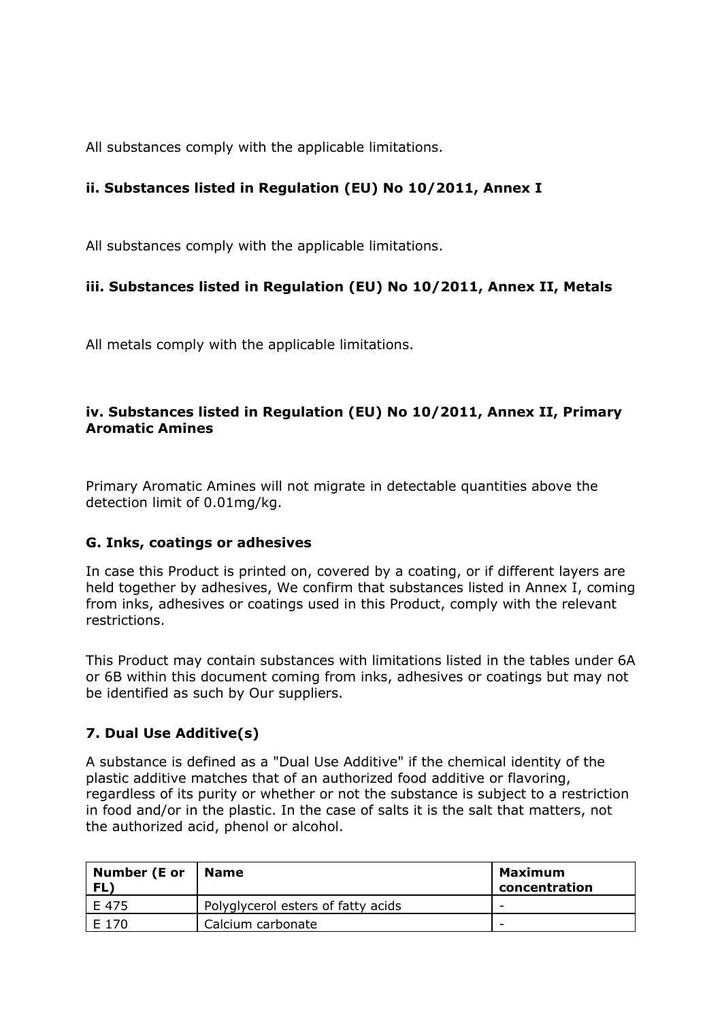All substances comply with the applicable limitations.

# **ii. Substances listed in Regulation (EU) No 10/2011, Annex I**

All substances comply with the applicable limitations.

# **iii. Substances listed in Regulation (EU) No 10/2011, Annex II, Metals**

All metals comply with the applicable limitations.

# **iv. Substances listed in Regulation (EU) No 10/2011, Annex II, Primary Aromatic Amines**

Primary Aromatic Amines will not migrate in detectable quantities above the detection limit of 0.01mg/kg.

## **G. Inks, coatings or adhesives**

In case this Product is printed on, covered by a coating, or if different layers are held together by adhesives, We confirm that substances listed in Annex I, coming from inks, adhesives or coatings used in this Product, comply with the relevant restrictions.

This Product may contain substances with limitations listed in the tables under 6A or 6B within this document coming from inks, adhesives or coatings but may not be identified as such by Our suppliers.

# **7. Dual Use Additive(s)**

A substance is defined as a "Dual Use Additive" if the chemical identity of the plastic additive matches that of an authorized food additive or flavoring, regardless of its purity or whether or not the substance is subject to a restriction in food and/or in the plastic. In the case of salts it is the salt that matters, not the authorized acid, phenol or alcohol.

| Number (E or<br>FL) | Name                               | Maximum<br>concentration |
|---------------------|------------------------------------|--------------------------|
| E 475               | Polyglycerol esters of fatty acids | -                        |
| E 170               | Calcium carbonate                  | $\overline{\phantom{a}}$ |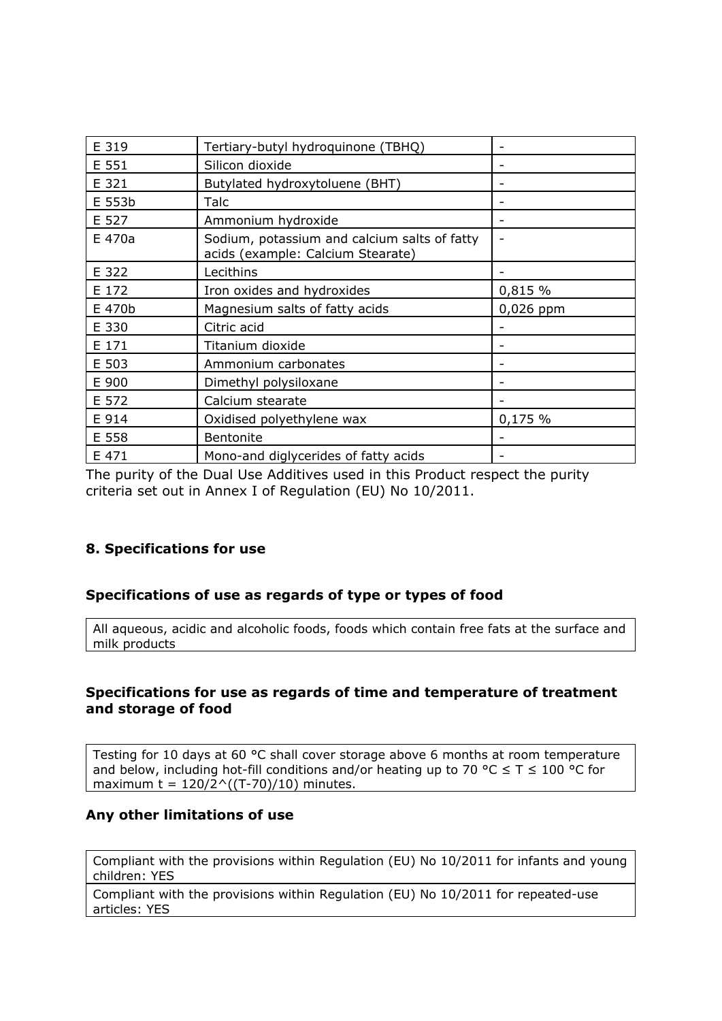| E 319  | Tertiary-butyl hydroquinone (TBHQ)                                                |           |
|--------|-----------------------------------------------------------------------------------|-----------|
| E 551  | Silicon dioxide                                                                   |           |
| E 321  | Butylated hydroxytoluene (BHT)                                                    |           |
| E 553b | Talc                                                                              |           |
| E 527  | Ammonium hydroxide                                                                |           |
| E 470a | Sodium, potassium and calcium salts of fatty<br>acids (example: Calcium Stearate) |           |
| E 322  | Lecithins                                                                         |           |
| E 172  | Iron oxides and hydroxides                                                        | 0,815 %   |
| E 470b | Magnesium salts of fatty acids                                                    | 0,026 ppm |
| E 330  | Citric acid                                                                       |           |
| E 171  | Titanium dioxide                                                                  |           |
| E 503  | Ammonium carbonates                                                               |           |
| E 900  | Dimethyl polysiloxane                                                             |           |
| E 572  | Calcium stearate                                                                  |           |
| E 914  | Oxidised polyethylene wax                                                         | 0,175%    |
| E 558  | <b>Bentonite</b>                                                                  |           |
| E 471  | Mono-and diglycerides of fatty acids                                              |           |

The purity of the Dual Use Additives used in this Product respect the purity criteria set out in Annex I of Regulation (EU) No 10/2011.

## **8. Specifications for use**

#### **Specifications of use as regards of type or types of food**

All aqueous, acidic and alcoholic foods, foods which contain free fats at the surface and milk products

#### **Specifications for use as regards of time and temperature of treatment and storage of food**

Testing for 10 days at 60 °C shall cover storage above 6 months at room temperature and below, including hot-fill conditions and/or heating up to 70 °C  $\leq$  T  $\leq$  100 °C for maximum t =  $120/2$ <sup> $\wedge$ </sup>((T-70)/10) minutes.

#### **Any other limitations of use**

Compliant with the provisions within Regulation (EU) No 10/2011 for infants and young children: YES

Compliant with the provisions within Regulation (EU) No 10/2011 for repeated-use articles: YES